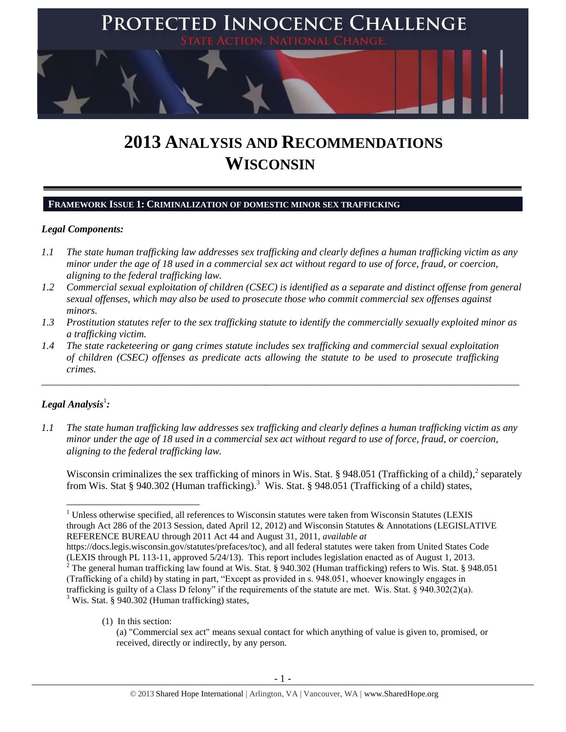

# **2013 ANALYSIS AND RECOMMENDATIONS WISCONSIN**

#### **FRAMEWORK ISSUE 1: CRIMINALIZATION OF DOMESTIC MINOR SEX TRAFFICKING**

## *Legal Components:*

- *1.1 The state human trafficking law addresses sex trafficking and clearly defines a human trafficking victim as any minor under the age of 18 used in a commercial sex act without regard to use of force, fraud, or coercion, aligning to the federal trafficking law.*
- *1.2 Commercial sexual exploitation of children (CSEC) is identified as a separate and distinct offense from general sexual offenses, which may also be used to prosecute those who commit commercial sex offenses against minors.*
- *1.3 Prostitution statutes refer to the sex trafficking statute to identify the commercially sexually exploited minor as a trafficking victim.*

\_\_\_\_\_\_\_\_\_\_\_\_\_\_\_\_\_\_\_\_\_\_\_\_\_\_\_\_\_\_\_\_\_\_\_\_\_\_\_\_\_\_\_\_\_\_\_\_\_\_\_\_\_\_\_\_\_\_\_\_\_\_\_\_\_\_\_\_\_\_\_\_\_\_\_\_\_\_\_\_\_\_\_\_\_\_\_\_\_\_\_\_\_\_

*1.4 The state racketeering or gang crimes statute includes sex trafficking and commercial sexual exploitation of children (CSEC) offenses as predicate acts allowing the statute to be used to prosecute trafficking crimes.* 

## $\bm{L}$ egal Analysis $^1$ :

 $\overline{\phantom{a}}$ 

*1.1 The state human trafficking law addresses sex trafficking and clearly defines a human trafficking victim as any minor under the age of 18 used in a commercial sex act without regard to use of force, fraud, or coercion, aligning to the federal trafficking law.*

Wisconsin criminalizes the sex trafficking of minors in Wis. Stat. § 948.051 (Trafficking of a child), $^2$  separately from Wis. Stat § 940.302 (Human trafficking).<sup>3</sup> Wis. Stat. § 948.051 (Trafficking of a child) states,

(1) In this section:

 $1$  Unless otherwise specified, all references to Wisconsin statutes were taken from Wisconsin Statutes (LEXIS through Act 286 of the 2013 Session, dated April 12, 2012) and Wisconsin Statutes & Annotations (LEGISLATIVE REFERENCE BUREAU through 2011 Act 44 and August 31, 2011, *available at*

https://docs.legis.wisconsin.gov/statutes/prefaces/toc), and all federal statutes were taken from United States Code (LEXIS through PL 113-11, approved 5/24/13). This report includes legislation enacted as of August 1, 2013. <sup>2</sup> The general human trafficking law found at Wis. Stat. § 940.302 (Human trafficking) refers to Wis. Stat. § 948.051 (Trafficking of a child) by stating in part, "Except as provided in s. 948.051, whoever knowingly engages in trafficking is guilty of a Class D felony" if the requirements of the statute are met. Wis. Stat. § 940.302(2)(a). <sup>3</sup> Wis. Stat. § 940.302 (Human trafficking) states,

<sup>(</sup>a) "Commercial sex act" means sexual contact for which anything of value is given to, promised, or received, directly or indirectly, by any person.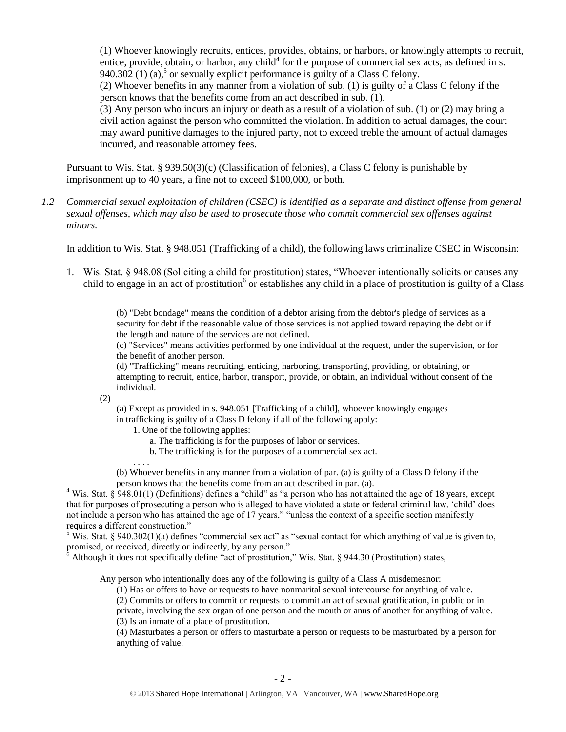<span id="page-1-0"></span>(1) Whoever knowingly recruits, entices, provides, obtains, or harbors, or knowingly attempts to recruit, entice, provide, obtain, or harbor, any child<sup>4</sup> for the purpose of commercial sex acts, as defined in s. 940.302 (1) (a),<sup>5</sup> or sexually explicit performance is guilty of a Class C felony.

<span id="page-1-1"></span>(2) Whoever benefits in any manner from a violation of sub. (1) is guilty of a Class C felony if the person knows that the benefits come from an act described in sub. (1).

(3) Any person who incurs an injury or death as a result of a violation of sub. (1) or (2) may bring a civil action against the person who committed the violation. In addition to actual damages, the court may award punitive damages to the injured party, not to exceed treble the amount of actual damages incurred, and reasonable attorney fees.

Pursuant to Wis. Stat. § 939.50(3)(c) (Classification of felonies), a Class C felony is punishable by imprisonment up to 40 years, a fine not to exceed \$100,000, or both.

*1.2 Commercial sexual exploitation of children (CSEC) is identified as a separate and distinct offense from general sexual offenses, which may also be used to prosecute those who commit commercial sex offenses against minors.*

In addition to Wis. Stat. § 948.051 (Trafficking of a child), the following laws criminalize CSEC in Wisconsin:

1. Wis. Stat. § 948.08 (Soliciting a child for prostitution) states, "Whoever intentionally solicits or causes any child to engage in an act of prostitution<sup>6</sup> or establishes any child in a place of prostitution is guilty of a Class

(c) "Services" means activities performed by one individual at the request, under the supervision, or for the benefit of another person.

(2)

. . . .

 $\overline{a}$ 

(a) Except as provided in s. 948.051 [Trafficking of a child], whoever knowingly engages in trafficking is guilty of a Class D felony if all of the following apply:

- 1. One of the following applies:
	- a. The trafficking is for the purposes of labor or services.
	- b. The trafficking is for the purposes of a commercial sex act.

(b) Whoever benefits in any manner from a violation of par. (a) is guilty of a Class D felony if the person knows that the benefits come from an act described in par. (a).

<sup>4</sup> Wis. Stat. § 948.01(1) (Definitions) defines a "child" as "a person who has not attained the age of 18 years, except that for purposes of prosecuting a person who is alleged to have violated a state or federal criminal law, 'child' does not include a person who has attained the age of 17 years," "unless the context of a specific section manifestly requires a different construction."

<sup>5</sup> Wis. Stat. § 940.302(1)(a) defines "commercial sex act" as "sexual contact for which anything of value is given to, promised, or received, directly or indirectly, by any person."

 $\delta$  Although it does not specifically define "act of prostitution," Wis. Stat. § 944.30 (Prostitution) states,

Any person who intentionally does any of the following is guilty of a Class A misdemeanor:

- (1) Has or offers to have or requests to have nonmarital sexual intercourse for anything of value.
- (2) Commits or offers to commit or requests to commit an act of sexual gratification, in public or in

private, involving the sex organ of one person and the mouth or anus of another for anything of value.

(3) Is an inmate of a place of prostitution.

(4) Masturbates a person or offers to masturbate a person or requests to be masturbated by a person for anything of value.

<sup>(</sup>b) "Debt bondage" means the condition of a debtor arising from the debtor's pledge of services as a security for debt if the reasonable value of those services is not applied toward repaying the debt or if the length and nature of the services are not defined.

<sup>(</sup>d) "Trafficking" means recruiting, enticing, harboring, transporting, providing, or obtaining, or attempting to recruit, entice, harbor, transport, provide, or obtain, an individual without consent of the individual.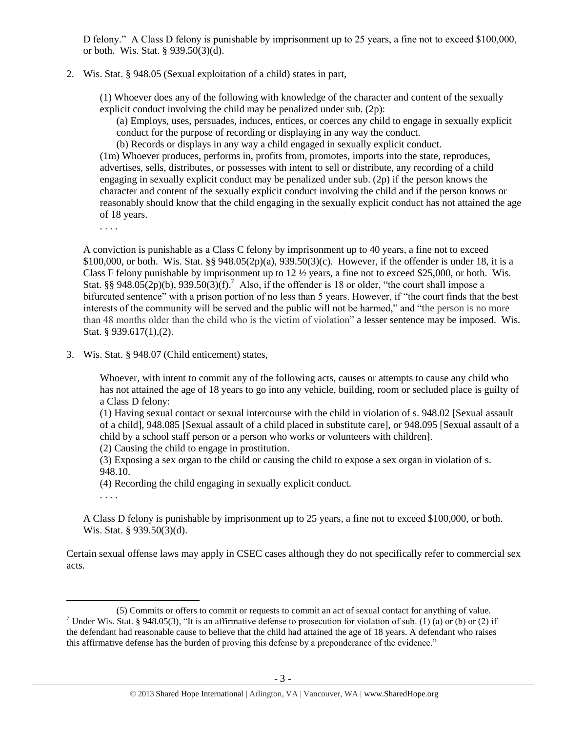D felony." A Class D felony is punishable by imprisonment up to 25 years, a fine not to exceed \$100,000, or both. Wis. Stat. § 939.50(3)(d).

2. Wis. Stat. § 948.05 (Sexual exploitation of a child) states in part,

(1) Whoever does any of the following with knowledge of the character and content of the sexually explicit conduct involving the child may be penalized under sub. (2p):

(a) Employs, uses, persuades, induces, entices, or coerces any child to engage in sexually explicit conduct for the purpose of recording or displaying in any way the conduct.

(b) Records or displays in any way a child engaged in sexually explicit conduct.

(1m) Whoever produces, performs in, profits from, promotes, imports into the state, reproduces, advertises, sells, distributes, or possesses with intent to sell or distribute, any recording of a child engaging in sexually explicit conduct may be penalized under sub. (2p) if the person knows the character and content of the sexually explicit conduct involving the child and if the person knows or reasonably should know that the child engaging in the sexually explicit conduct has not attained the age of 18 years.

. . . .

A conviction is punishable as a Class C felony by imprisonment up to 40 years, a fine not to exceed \$100,000, or both. Wis. Stat. §§ 948.05(2p)(a), 939.50(3)(c). However, if the offender is under 18, it is a Class F felony punishable by imprisonment up to 12 ½ years, a fine not to exceed \$25,000, or both. Wis. Stat. §§ 948.05(2p)(b), 939.50(3)(f).<sup>7</sup> Also, if the offender is 18 or older, "the court shall impose a bifurcated sentence" with a prison portion of no less than 5 years. However, if "the court finds that the best interests of the community will be served and the public will not be harmed," and "the person is no more than 48 months older than the child who is the victim of violation" a lesser sentence may be imposed. Wis. Stat. § 939.617(1),(2).

3. Wis. Stat. § 948.07 (Child enticement) states,

Whoever, with intent to commit any of the following acts, causes or attempts to cause any child who has not attained the age of 18 years to go into any vehicle, building, room or secluded place is guilty of a Class D felony:

(1) Having sexual contact or sexual intercourse with the child in violation of s. 948.02 [Sexual assault of a child], 948.085 [Sexual assault of a child placed in substitute care], or 948.095 [Sexual assault of a child by a school staff person or a person who works or volunteers with children].

(2) Causing the child to engage in prostitution.

(3) Exposing a sex organ to the child or causing the child to expose a sex organ in violation of s. 948.10.

(4) Recording the child engaging in sexually explicit conduct.

. . . .

A Class D felony is punishable by imprisonment up to 25 years, a fine not to exceed \$100,000, or both. Wis. Stat. § 939.50(3)(d).

Certain sexual offense laws may apply in CSEC cases although they do not specifically refer to commercial sex acts.

 $\overline{a}$ (5) Commits or offers to commit or requests to commit an act of sexual contact for anything of value. <sup>7</sup> Under Wis. Stat. § 948.05(3), "It is an affirmative defense to prosecution for violation of sub. (1) (a) or (b) or (2) if the defendant had reasonable cause to believe that the child had attained the age of 18 years. A defendant who raises this affirmative defense has the burden of proving this defense by a preponderance of the evidence."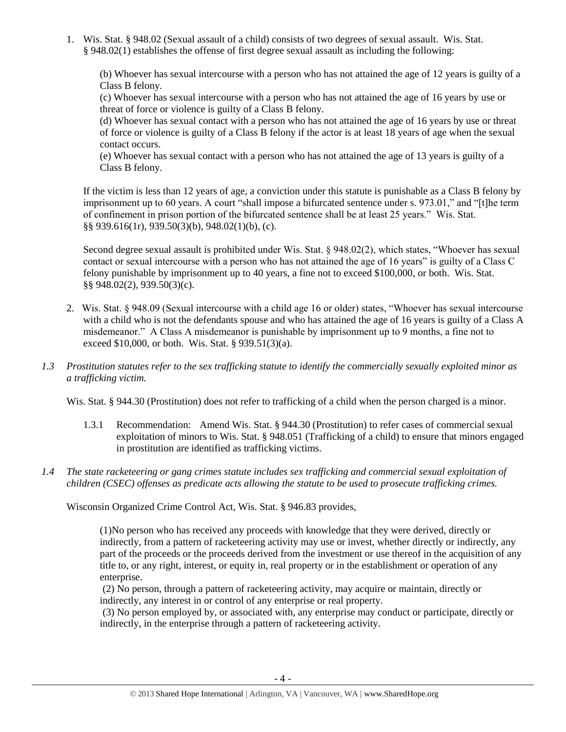1. Wis. Stat. § 948.02 (Sexual assault of a child) consists of two degrees of sexual assault. Wis. Stat. § 948.02(1) establishes the offense of first degree sexual assault as including the following:

(b) Whoever has sexual intercourse with a person who has not attained the age of 12 years is guilty of a Class B felony.

(c) Whoever has sexual intercourse with a person who has not attained the age of 16 years by use or threat of force or violence is guilty of a Class B felony.

(d) Whoever has sexual contact with a person who has not attained the age of 16 years by use or threat of force or violence is guilty of a Class B felony if the actor is at least 18 years of age when the sexual contact occurs.

(e) Whoever has sexual contact with a person who has not attained the age of 13 years is guilty of a Class B felony.

If the victim is less than 12 years of age, a conviction under this statute is punishable as a Class B felony by imprisonment up to 60 years. A court "shall impose a bifurcated sentence under s. 973.01," and "[t]he term of confinement in prison portion of the bifurcated sentence shall be at least 25 years." Wis. Stat. §§ 939.616(1r), 939.50(3)(b), 948.02(1)(b), (c).

Second degree sexual assault is prohibited under Wis. Stat. § 948.02(2), which states, "Whoever has sexual contact or sexual intercourse with a person who has not attained the age of 16 years" is guilty of a Class C felony punishable by imprisonment up to 40 years, a fine not to exceed \$100,000, or both. Wis. Stat. §§ 948.02(2), 939.50(3)(c).

- 2. Wis. Stat. § 948.09 (Sexual intercourse with a child age 16 or older) states, "Whoever has sexual intercourse with a child who is not the defendants spouse and who has attained the age of 16 years is guilty of a Class A misdemeanor." A Class A misdemeanor is punishable by imprisonment up to 9 months, a fine not to exceed \$10,000, or both. Wis. Stat. § 939.51(3)(a).
- *1.3 Prostitution statutes refer to the sex trafficking statute to identify the commercially sexually exploited minor as a trafficking victim.*

Wis. Stat. § 944.30 (Prostitution) does not refer to trafficking of a child when the person charged is a minor.

- 1.3.1 Recommendation: Amend Wis. Stat. § 944.30 (Prostitution) to refer cases of commercial sexual exploitation of minors to Wis. Stat. § 948.051 (Trafficking of a child) to ensure that minors engaged in prostitution are identified as trafficking victims.
- *1.4 The state racketeering or gang crimes statute includes sex trafficking and commercial sexual exploitation of children (CSEC) offenses as predicate acts allowing the statute to be used to prosecute trafficking crimes.*

Wisconsin Organized Crime Control Act, Wis. Stat. § 946.83 provides,

(1)No person who has received any proceeds with knowledge that they were derived, directly or indirectly, from a pattern of racketeering activity may use or invest, whether directly or indirectly, any part of the proceeds or the proceeds derived from the investment or use thereof in the acquisition of any title to, or any right, interest, or equity in, real property or in the establishment or operation of any enterprise.

(2) No person, through a pattern of racketeering activity, may acquire or maintain, directly or indirectly, any interest in or control of any enterprise or real property.

(3) No person employed by, or associated with, any enterprise may conduct or participate, directly or indirectly, in the enterprise through a pattern of racketeering activity.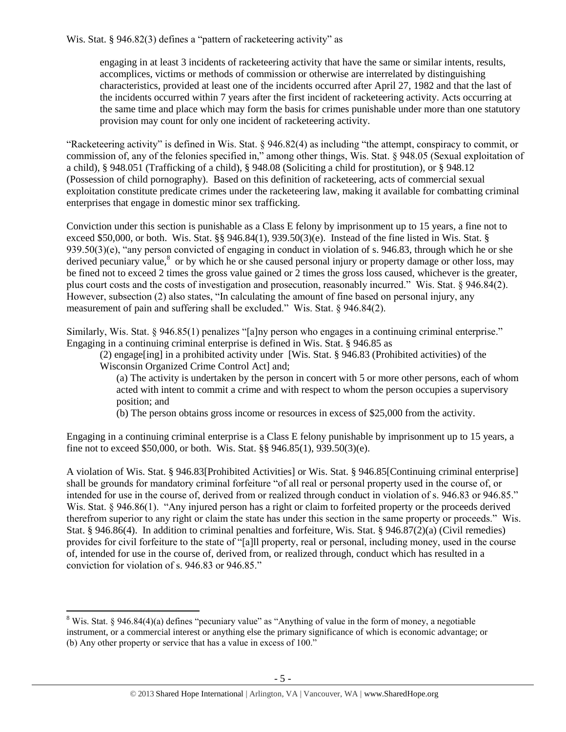Wis. Stat. § 946.82(3) defines a "pattern of racketeering activity" as

engaging in at least 3 incidents of racketeering activity that have the same or similar intents, results, accomplices, victims or methods of commission or otherwise are interrelated by distinguishing characteristics, provided at least one of the incidents occurred after April 27, 1982 and that the last of the incidents occurred within 7 years after the first incident of racketeering activity. Acts occurring at the same time and place which may form the basis for crimes punishable under more than one statutory provision may count for only one incident of racketeering activity.

"Racketeering activity" is defined in Wis. Stat. § 946.82(4) as including "the attempt, conspiracy to commit, or commission of, any of the felonies specified in," among other things, Wis. Stat. § 948.05 (Sexual exploitation of a child), § 948.051 (Trafficking of a child), § 948.08 (Soliciting a child for prostitution), or § 948.12 (Possession of child pornography). Based on this definition of racketeering, acts of commercial sexual exploitation constitute predicate crimes under the racketeering law, making it available for combatting criminal enterprises that engage in domestic minor sex trafficking.

Conviction under this section is punishable as a Class E felony by imprisonment up to 15 years, a fine not to exceed \$50,000, or both. Wis. Stat. §§ 946.84(1), 939.50(3)(e). Instead of the fine listed in Wis. Stat. §  $939.50(3)(e)$ , "any person convicted of engaging in conduct in violation of s. 946.83, through which he or she derived pecuniary value,<sup>8</sup> or by which he or she caused personal injury or property damage or other loss, may be fined not to exceed 2 times the gross value gained or 2 times the gross loss caused, whichever is the greater, plus court costs and the costs of investigation and prosecution, reasonably incurred." Wis. Stat. § 946.84(2). However, subsection (2) also states, "In calculating the amount of fine based on personal injury, any measurement of pain and suffering shall be excluded." Wis. Stat. § 946.84(2).

Similarly, Wis. Stat. § 946.85(1) penalizes "[a]ny person who engages in a continuing criminal enterprise." Engaging in a continuing criminal enterprise is defined in Wis. Stat. § 946.85 as

(2) engage[ing] in a prohibited activity under [Wis. Stat. § 946.83 (Prohibited activities) of the Wisconsin Organized Crime Control Act] and;

(a) The activity is undertaken by the person in concert with 5 or more other persons, each of whom acted with intent to commit a crime and with respect to whom the person occupies a supervisory position; and

(b) The person obtains gross income or resources in excess of \$25,000 from the activity.

Engaging in a continuing criminal enterprise is a Class E felony punishable by imprisonment up to 15 years, a fine not to exceed \$50,000, or both. Wis. Stat. §§ 946.85(1), 939.50(3)(e).

A violation of Wis. Stat. § 946.83[Prohibited Activities] or Wis. Stat. § 946.85[Continuing criminal enterprise] shall be grounds for mandatory criminal forfeiture "of all real or personal property used in the course of, or intended for use in the course of, derived from or realized through conduct in violation of s. 946.83 or 946.85." Wis. Stat. § 946.86(1). "Any injured person has a right or claim to forfeited property or the proceeds derived therefrom superior to any right or claim the state has under this section in the same property or proceeds." Wis. Stat. § 946.86(4). In addition to criminal penalties and forfeiture, Wis. Stat. § 946.87(2)(a) (Civil remedies) provides for civil forfeiture to the state of "[a]ll property, real or personal, including money, used in the course of, intended for use in the course of, derived from, or realized through, conduct which has resulted in a conviction for violation of s. 946.83 or 946.85."

 $\overline{\phantom{a}}$ 

<sup>&</sup>lt;sup>8</sup> Wis. Stat. § 946.84(4)(a) defines "pecuniary value" as "Anything of value in the form of money, a negotiable instrument, or a commercial interest or anything else the primary significance of which is economic advantage; or (b) Any other property or service that has a value in excess of 100."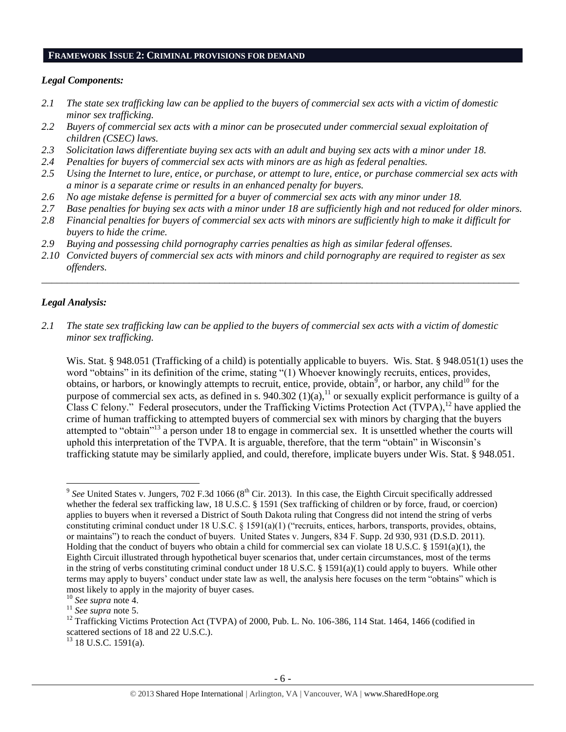#### **FRAMEWORK ISSUE 2: CRIMINAL PROVISIONS FOR DEMAND**

## *Legal Components:*

- *2.1 The state sex trafficking law can be applied to the buyers of commercial sex acts with a victim of domestic minor sex trafficking.*
- *2.2 Buyers of commercial sex acts with a minor can be prosecuted under commercial sexual exploitation of children (CSEC) laws.*
- *2.3 Solicitation laws differentiate buying sex acts with an adult and buying sex acts with a minor under 18.*
- *2.4 Penalties for buyers of commercial sex acts with minors are as high as federal penalties.*
- *2.5 Using the Internet to lure, entice, or purchase, or attempt to lure, entice, or purchase commercial sex acts with a minor is a separate crime or results in an enhanced penalty for buyers.*
- *2.6 No age mistake defense is permitted for a buyer of commercial sex acts with any minor under 18.*
- *2.7 Base penalties for buying sex acts with a minor under 18 are sufficiently high and not reduced for older minors.*
- *2.8 Financial penalties for buyers of commercial sex acts with minors are sufficiently high to make it difficult for buyers to hide the crime.*
- *2.9 Buying and possessing child pornography carries penalties as high as similar federal offenses.*
- *2.10 Convicted buyers of commercial sex acts with minors and child pornography are required to register as sex offenders.*

\_\_\_\_\_\_\_\_\_\_\_\_\_\_\_\_\_\_\_\_\_\_\_\_\_\_\_\_\_\_\_\_\_\_\_\_\_\_\_\_\_\_\_\_\_\_\_\_\_\_\_\_\_\_\_\_\_\_\_\_\_\_\_\_\_\_\_\_\_\_\_\_\_\_\_\_\_\_\_\_\_\_\_\_\_\_\_\_\_\_\_\_\_\_

## *Legal Analysis:*

 $\overline{\phantom{a}}$ 

*2.1 The state sex trafficking law can be applied to the buyers of commercial sex acts with a victim of domestic minor sex trafficking.*

<span id="page-5-0"></span>Wis. Stat. § 948.051 (Trafficking of a child) is potentially applicable to buyers. Wis. Stat. § 948.051(1) uses the word "obtains" in its definition of the crime, stating "(1) Whoever knowingly recruits, entices, provides, obtains, or harbors, or knowingly attempts to recruit, entice, provide, obtain, or harbor, any child<sup>10</sup> for the purpose of commercial sex acts, as defined in s. 940.302 (1)(a),<sup>11</sup> or sexually explicit performance is guilty of a Class C felony." Federal prosecutors, under the Trafficking Victims Protection Act  $(TVPA)$ ,<sup>12</sup> have applied the crime of human trafficking to attempted buyers of commercial sex with minors by charging that the buyers attempted to "obtain"<sup>13</sup> a person under 18 to engage in commercial sex. It is unsettled whether the courts will uphold this interpretation of the TVPA. It is arguable, therefore, that the term "obtain" in Wisconsin's trafficking statute may be similarly applied, and could, therefore, implicate buyers under Wis. Stat. § 948.051.

 $13$  18 U.S.C. 1591(a).

 $9^{9}$  See United States v. Jungers, 702 F.3d 1066 ( $8^{th}$  Cir. 2013). In this case, the Eighth Circuit specifically addressed whether the federal sex trafficking law, 18 U.S.C. § 1591 (Sex trafficking of children or by force, fraud, or coercion) applies to buyers when it reversed a District of South Dakota ruling that Congress did not intend the string of verbs constituting criminal conduct under 18 U.S.C. § 1591(a)(1) ("recruits, entices, harbors, transports, provides, obtains, or maintains") to reach the conduct of buyers. United States v. Jungers, 834 F. Supp. 2d 930, 931 (D.S.D. 2011). Holding that the conduct of buyers who obtain a child for commercial sex can violate 18 U.S.C. § 1591(a)(1), the Eighth Circuit illustrated through hypothetical buyer scenarios that, under certain circumstances, most of the terms in the string of verbs constituting criminal conduct under 18 U.S.C. § 1591(a)(1) could apply to buyers. While other terms may apply to buyers' conduct under state law as well, the analysis here focuses on the term "obtains" which is most likely to apply in the majority of buyer cases.

<sup>10</sup> *See supra* note [4.](#page-1-0)

<sup>11</sup> *See supra* note [5.](#page-1-1)

<sup>&</sup>lt;sup>12</sup> Trafficking Victims Protection Act (TVPA) of 2000, Pub. L. No. 106-386, 114 Stat. 1464, 1466 (codified in scattered sections of 18 and 22 U.S.C.).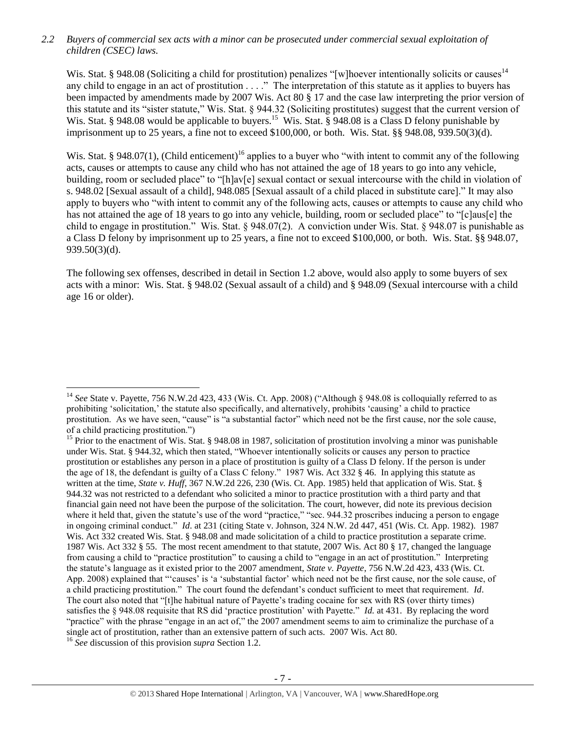*2.2 Buyers of commercial sex acts with a minor can be prosecuted under commercial sexual exploitation of children (CSEC) laws.*

Wis. Stat. § 948.08 (Soliciting a child for prostitution) penalizes "[w]hoever intentionally solicits or causes<sup>14</sup> any child to engage in an act of prostitution . . . ." The interpretation of this statute as it applies to buyers has been impacted by amendments made by 2007 Wis. Act 80 § 17 and the case law interpreting the prior version of this statute and its "sister statute," Wis. Stat. § 944.32 (Soliciting prostitutes) suggest that the current version of Wis. Stat. § 948.08 would be applicable to buyers.<sup>15</sup> Wis. Stat. § 948.08 is a Class D felony punishable by imprisonment up to 25 years, a fine not to exceed \$100,000, or both. Wis. Stat. §§ 948.08, 939.50(3)(d).

Wis. Stat. § 948.07(1), (Child enticement)<sup>16</sup> applies to a buyer who "with intent to commit any of the following acts, causes or attempts to cause any child who has not attained the age of 18 years to go into any vehicle, building, room or secluded place" to "[h]av[e] sexual contact or sexual intercourse with the child in violation of s. 948.02 [Sexual assault of a child], 948.085 [Sexual assault of a child placed in substitute care]." It may also apply to buyers who "with intent to commit any of the following acts, causes or attempts to cause any child who has not attained the age of 18 years to go into any vehicle, building, room or secluded place" to "[c]aus[e] the child to engage in prostitution." Wis. Stat. § 948.07(2). A conviction under Wis. Stat. § 948.07 is punishable as a Class D felony by imprisonment up to 25 years, a fine not to exceed \$100,000, or both. Wis. Stat. §§ 948.07, 939.50(3)(d).

The following sex offenses, described in detail in Section 1.2 above, would also apply to some buyers of sex acts with a minor: Wis. Stat. § 948.02 (Sexual assault of a child) and § 948.09 (Sexual intercourse with a child age 16 or older).

 $\overline{\phantom{a}}$ 

<sup>&</sup>lt;sup>14</sup> See State v. Payette, 756 N.W.2d 423, 433 (Wis. Ct. App. 2008) ("Although § 948.08 is colloquially referred to as prohibiting 'solicitation,' the statute also specifically, and alternatively, prohibits 'causing' a child to practice prostitution. As we have seen, "cause" is "a substantial factor" which need not be the first cause, nor the sole cause, of a child practicing prostitution.")

<sup>&</sup>lt;sup>15</sup> Prior to the enactment of Wis. Stat. § 948.08 in 1987, solicitation of prostitution involving a minor was punishable under Wis. Stat. § 944.32, which then stated, "Whoever intentionally solicits or causes any person to practice prostitution or establishes any person in a place of prostitution is guilty of a Class D felony. If the person is under the age of 18, the defendant is guilty of a Class C felony." 1987 Wis. Act 332 § 46. In applying this statute as written at the time, *State v. Huff*, 367 N.W.2d 226, 230 (Wis. Ct. App. 1985) held that application of Wis. Stat. § 944.32 was not restricted to a defendant who solicited a minor to practice prostitution with a third party and that financial gain need not have been the purpose of the solicitation. The court, however, did note its previous decision where it held that, given the statute's use of the word "practice," "sec. 944.32 proscribes inducing a person to engage in ongoing criminal conduct." *Id*. at 231 (citing State v. Johnson, 324 N.W. 2d 447, 451 (Wis. Ct. App. 1982). 1987 Wis. Act 332 created Wis. Stat. § 948.08 and made solicitation of a child to practice prostitution a separate crime. 1987 Wis. Act 332 § 55. The most recent amendment to that statute, 2007 Wis. Act 80 § 17, changed the language from causing a child to "practice prostitution" to causing a child to "engage in an act of prostitution." Interpreting the statute's language as it existed prior to the 2007 amendment, *State v. Payette*, 756 N.W.2d 423, 433 (Wis. Ct. App. 2008) explained that "'causes' is 'a 'substantial factor' which need not be the first cause, nor the sole cause, of a child practicing prostitution." The court found the defendant's conduct sufficient to meet that requirement. *Id*. The court also noted that "[t]he habitual nature of Payette's trading cocaine for sex with RS (over thirty times) satisfies the § 948.08 requisite that RS did 'practice prostitution' with Payette." *Id.* at 431. By replacing the word "practice" with the phrase "engage in an act of," the 2007 amendment seems to aim to criminalize the purchase of a single act of prostitution, rather than an extensive pattern of such acts. 2007 Wis. Act 80.

<sup>16</sup> *See* discussion of this provision *supra* Section 1.2.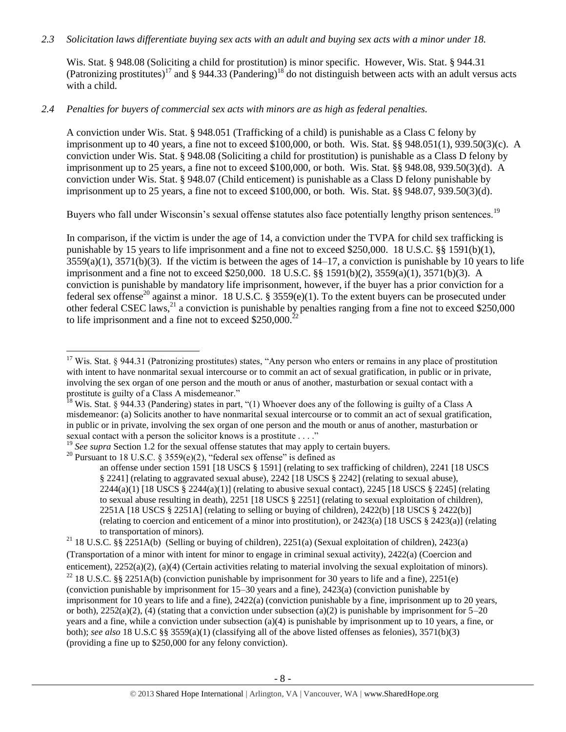## *2.3 Solicitation laws differentiate buying sex acts with an adult and buying sex acts with a minor under 18.*

Wis. Stat. § 948.08 (Soliciting a child for prostitution) is minor specific. However, Wis. Stat. § 944.31 (Patronizing prostitutes)<sup>17</sup> and § 944.33 (Pandering)<sup>18</sup> do not distinguish between acts with an adult versus acts with a child.

## *2.4 Penalties for buyers of commercial sex acts with minors are as high as federal penalties.*

A conviction under Wis. Stat. § 948.051 (Trafficking of a child) is punishable as a Class C felony by imprisonment up to 40 years, a fine not to exceed  $$100,000$ , or both. Wis. Stat. §§ 948.051(1), 939.50(3)(c). A conviction under Wis. Stat. § 948.08 (Soliciting a child for prostitution) is punishable as a Class D felony by imprisonment up to 25 years, a fine not to exceed \$100,000, or both. Wis. Stat. §§ 948.08, 939.50(3)(d). A conviction under Wis. Stat. § 948.07 (Child enticement) is punishable as a Class D felony punishable by imprisonment up to 25 years, a fine not to exceed \$100,000, or both. Wis. Stat. §§ 948.07, 939.50(3)(d).

Buyers who fall under Wisconsin's sexual offense statutes also face potentially lengthy prison sentences.<sup>19</sup>

In comparison, if the victim is under the age of 14, a conviction under the TVPA for child sex trafficking is punishable by 15 years to life imprisonment and a fine not to exceed \$250,000. 18 U.S.C. §§ 1591(b)(1),  $3559(a)(1)$ ,  $3571(b)(3)$ . If the victim is between the ages of  $14-17$ , a conviction is punishable by 10 years to life imprisonment and a fine not to exceed \$250,000. 18 U.S.C. §§ 1591(b)(2), 3559(a)(1), 3571(b)(3). A conviction is punishable by mandatory life imprisonment, however, if the buyer has a prior conviction for a federal sex offense<sup>20</sup> against a minor. 18 U.S.C. § 3559(e)(1). To the extent buyers can be prosecuted under other federal CSEC laws,<sup>21</sup> a conviction is punishable by penalties ranging from a fine not to exceed \$250,000 to life imprisonment and a fine not to exceed  $$250,000.<sup>2</sup>$ 

<span id="page-7-0"></span> $\overline{\phantom{a}}$ 

 $17$  Wis. Stat. § 944.31 (Patronizing prostitutes) states, "Any person who enters or remains in any place of prostitution with intent to have nonmarital sexual intercourse or to commit an act of sexual gratification, in public or in private, involving the sex organ of one person and the mouth or anus of another, masturbation or sexual contact with a prostitute is guilty of a Class A misdemeanor."

<sup>&</sup>lt;sup>18</sup> Wis. Stat. § 944.33 (Pandering) states in part, "(1) Whoever does any of the following is guilty of a Class A misdemeanor: (a) Solicits another to have nonmarital sexual intercourse or to commit an act of sexual gratification, in public or in private, involving the sex organ of one person and the mouth or anus of another, masturbation or sexual contact with a person the solicitor knows is a prostitute . . . ."

<sup>&</sup>lt;sup>19</sup> See supra Section 1.2 for the sexual offense statutes that may apply to certain buyers.

<sup>&</sup>lt;sup>20</sup> Pursuant to 18 U.S.C. § 3559(e)(2), "federal sex offense" is defined as

an offense under section 1591 [18 USCS § 1591] (relating to sex trafficking of children), 2241 [18 USCS § 2241] (relating to aggravated sexual abuse), 2242 [18 USCS § 2242] (relating to sexual abuse), 2244(a)(1) [18 USCS § 2244(a)(1)] (relating to abusive sexual contact), 2245 [18 USCS § 2245] (relating to sexual abuse resulting in death), 2251 [18 USCS § 2251] (relating to sexual exploitation of children), 2251A [18 USCS § 2251A] (relating to selling or buying of children), 2422(b) [18 USCS § 2422(b)] (relating to coercion and enticement of a minor into prostitution), or 2423(a) [18 USCS § 2423(a)] (relating to transportation of minors).

<sup>&</sup>lt;sup>21</sup> 18 U.S.C. §§ 2251A(b) (Selling or buying of children), 2251(a) (Sexual exploitation of children), 2423(a) (Transportation of a minor with intent for minor to engage in criminal sexual activity), 2422(a) (Coercion and enticement), 2252(a)(2), (a)(4) (Certain activities relating to material involving the sexual exploitation of minors).

<sup>&</sup>lt;sup>22</sup> 18 U.S.C. §§ 2251A(b) (conviction punishable by imprisonment for 30 years to life and a fine), 2251(e) (conviction punishable by imprisonment for 15–30 years and a fine), 2423(a) (conviction punishable by imprisonment for 10 years to life and a fine), 2422(a) (conviction punishable by a fine, imprisonment up to 20 years, or both),  $2252(a)(2)$ , (4) (stating that a conviction under subsection (a)(2) is punishable by imprisonment for  $5-20$ years and a fine, while a conviction under subsection (a)(4) is punishable by imprisonment up to 10 years, a fine, or both); *see also* 18 U.S.C §§ 3559(a)(1) (classifying all of the above listed offenses as felonies), 3571(b)(3) (providing a fine up to \$250,000 for any felony conviction).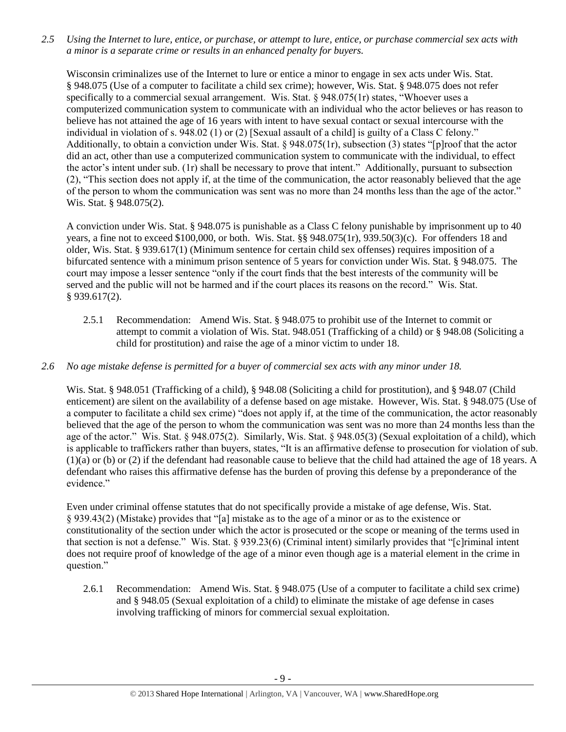*2.5 Using the Internet to lure, entice, or purchase, or attempt to lure, entice, or purchase commercial sex acts with a minor is a separate crime or results in an enhanced penalty for buyers.*

Wisconsin criminalizes use of the Internet to lure or entice a minor to engage in sex acts under Wis. Stat. § 948.075 (Use of a computer to facilitate a child sex crime); however, Wis. Stat. § 948.075 does not refer specifically to a commercial sexual arrangement. Wis. Stat. § 948.075(1r) states, "Whoever uses a computerized communication system to communicate with an individual who the actor believes or has reason to believe has not attained the age of 16 years with intent to have sexual contact or sexual intercourse with the individual in violation of s. 948.02 (1) or (2) [Sexual assault of a child] is guilty of a Class C felony." Additionally, to obtain a conviction under Wis. Stat. § 948.075(1r), subsection (3) states "[p]roof that the actor did an act, other than use a computerized communication system to communicate with the individual, to effect the actor's intent under sub. (1r) shall be necessary to prove that intent." Additionally, pursuant to subsection (2), "This section does not apply if, at the time of the communication, the actor reasonably believed that the age of the person to whom the communication was sent was no more than 24 months less than the age of the actor." Wis. Stat. § 948.075(2).

A conviction under Wis. Stat. § 948.075 is punishable as a Class C felony punishable by imprisonment up to 40 years, a fine not to exceed \$100,000, or both. Wis. Stat. §§ 948.075(1r), 939.50(3)(c). For offenders 18 and older, Wis. Stat. § 939.617(1) (Minimum sentence for certain child sex offenses) requires imposition of a bifurcated sentence with a minimum prison sentence of 5 years for conviction under Wis. Stat. § 948.075. The court may impose a lesser sentence "only if the court finds that the best interests of the community will be served and the public will not be harmed and if the court places its reasons on the record." Wis. Stat. § 939.617(2).

2.5.1 Recommendation: Amend Wis. Stat. § 948.075 to prohibit use of the Internet to commit or attempt to commit a violation of Wis. Stat. 948.051 (Trafficking of a child) or § 948.08 (Soliciting a child for prostitution) and raise the age of a minor victim to under 18.

## *2.6 No age mistake defense is permitted for a buyer of commercial sex acts with any minor under 18.*

Wis. Stat. § 948.051 (Trafficking of a child), § 948.08 (Soliciting a child for prostitution), and § 948.07 (Child enticement) are silent on the availability of a defense based on age mistake. However, Wis. Stat. § 948.075 (Use of a computer to facilitate a child sex crime) "does not apply if, at the time of the communication, the actor reasonably believed that the age of the person to whom the communication was sent was no more than 24 months less than the age of the actor." Wis. Stat. § 948.075(2). Similarly, Wis. Stat. § 948.05(3) (Sexual exploitation of a child), which is applicable to traffickers rather than buyers, states, "It is an affirmative defense to prosecution for violation of sub. (1)(a) or (b) or (2) if the defendant had reasonable cause to believe that the child had attained the age of 18 years. A defendant who raises this affirmative defense has the burden of proving this defense by a preponderance of the evidence."

Even under criminal offense statutes that do not specifically provide a mistake of age defense, Wis. Stat. § 939.43(2) (Mistake) provides that "[a] mistake as to the age of a minor or as to the existence or constitutionality of the section under which the actor is prosecuted or the scope or meaning of the terms used in that section is not a defense." Wis. Stat. § 939.23(6) (Criminal intent) similarly provides that "[c]riminal intent does not require proof of knowledge of the age of a minor even though age is a material element in the crime in question."

2.6.1 Recommendation: Amend Wis. Stat. § 948.075 (Use of a computer to facilitate a child sex crime) and § 948.05 (Sexual exploitation of a child) to eliminate the mistake of age defense in cases involving trafficking of minors for commercial sexual exploitation.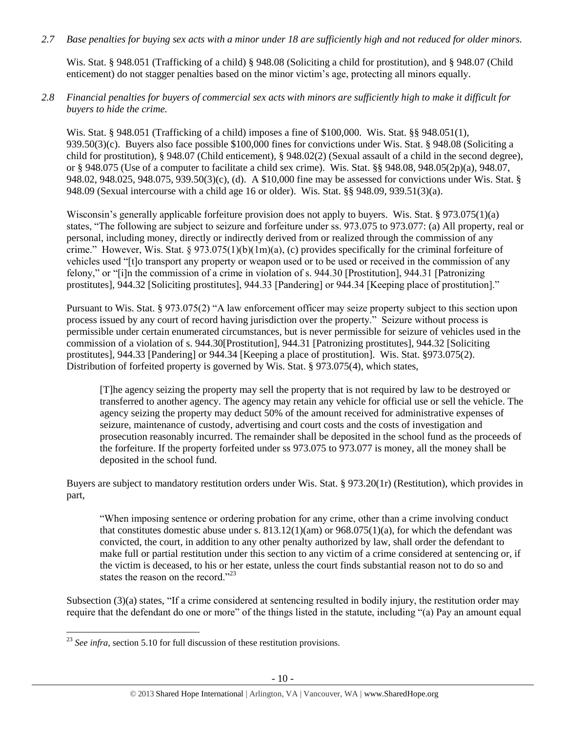*2.7 Base penalties for buying sex acts with a minor under 18 are sufficiently high and not reduced for older minors.*

Wis. Stat. § 948.051 (Trafficking of a child) § 948.08 (Soliciting a child for prostitution), and § 948.07 (Child enticement) do not stagger penalties based on the minor victim's age, protecting all minors equally.

*2.8 Financial penalties for buyers of commercial sex acts with minors are sufficiently high to make it difficult for buyers to hide the crime.* 

Wis. Stat. § 948.051 (Trafficking of a child) imposes a fine of \$100,000. Wis. Stat. §§ 948.051(1), 939.50(3)(c). Buyers also face possible \$100,000 fines for convictions under Wis. Stat. § 948.08 (Soliciting a child for prostitution), § 948.07 (Child enticement), § 948.02(2) (Sexual assault of a child in the second degree), or § 948.075 (Use of a computer to facilitate a child sex crime). Wis. Stat. §§ 948.08, 948.05(2p)(a), 948.07, 948.02, 948.025, 948.075, 939.50(3)(c), (d). A \$10,000 fine may be assessed for convictions under Wis. Stat. § 948.09 (Sexual intercourse with a child age 16 or older). Wis. Stat. §§ 948.09, 939.51(3)(a).

Wisconsin's generally applicable forfeiture provision does not apply to buyers. Wis. Stat. § 973.075(1)(a) states, "The following are subject to seizure and forfeiture under ss. 973.075 to 973.077: (a) All property, real or personal, including money, directly or indirectly derived from or realized through the commission of any crime." However, Wis. Stat. § 973.075(1)(b)(1m)(a), (c) provides specifically for the criminal forfeiture of vehicles used "[t]o transport any property or weapon used or to be used or received in the commission of any felony," or "[i]n the commission of a crime in violation of s. 944.30 [Prostitution], 944.31 [Patronizing prostitutes], 944.32 [Soliciting prostitutes], 944.33 [Pandering] or 944.34 [Keeping place of prostitution]."

Pursuant to Wis. Stat. § 973.075(2) "A law enforcement officer may seize property subject to this section upon process issued by any court of record having jurisdiction over the property." Seizure without process is permissible under certain enumerated circumstances, but is never permissible for seizure of vehicles used in the commission of a violation of s. 944.30[Prostitution], 944.31 [Patronizing prostitutes], 944.32 [Soliciting prostitutes], 944.33 [Pandering] or 944.34 [Keeping a place of prostitution]. Wis. Stat. §973.075(2). Distribution of forfeited property is governed by Wis. Stat. § 973.075(4), which states,

[T]he agency seizing the property may sell the property that is not required by law to be destroyed or transferred to another agency. The agency may retain any vehicle for official use or sell the vehicle. The agency seizing the property may deduct 50% of the amount received for administrative expenses of seizure, maintenance of custody, advertising and court costs and the costs of investigation and prosecution reasonably incurred. The remainder shall be deposited in the school fund as the proceeds of the forfeiture. If the property forfeited under ss 973.075 to 973.077 is money, all the money shall be deposited in the school fund.

Buyers are subject to mandatory restitution orders under Wis. Stat. § 973.20(1r) (Restitution), which provides in part,

"When imposing sentence or ordering probation for any crime, other than a crime involving conduct that constitutes domestic abuse under s.  $813.12(1)(am)$  or  $968.075(1)(a)$ , for which the defendant was convicted, the court, in addition to any other penalty authorized by law, shall order the defendant to make full or partial restitution under this section to any victim of a crime considered at sentencing or, if the victim is deceased, to his or her estate, unless the court finds substantial reason not to do so and states the reason on the record."<sup>23</sup>

Subsection (3)(a) states, "If a crime considered at sentencing resulted in bodily injury, the restitution order may require that the defendant do one or more" of the things listed in the statute, including "(a) Pay an amount equal

 $\overline{a}$ <sup>23</sup> *See infra*, section 5.10 for full discussion of these restitution provisions.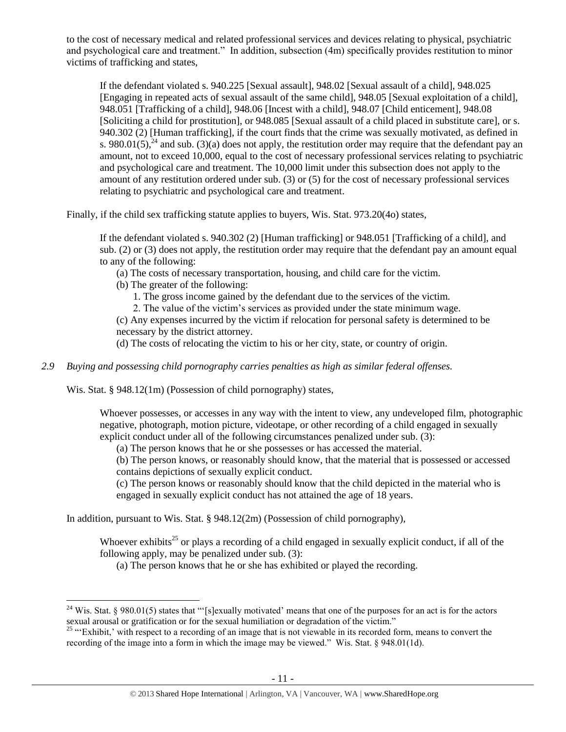to the cost of necessary medical and related professional services and devices relating to physical, psychiatric and psychological care and treatment." In addition, subsection (4m) specifically provides restitution to minor victims of trafficking and states,

<span id="page-10-1"></span>If the defendant violated s. 940.225 [Sexual assault], 948.02 [Sexual assault of a child], 948.025 [Engaging in repeated acts of sexual assault of the same child], 948.05 [Sexual exploitation of a child], 948.051 [Trafficking of a child], 948.06 [Incest with a child], 948.07 [Child enticement], 948.08 [Soliciting a child for prostitution], or 948.085 [Sexual assault of a child placed in substitute care], or s. 940.302 (2) [Human trafficking], if the court finds that the crime was sexually motivated, as defined in s. 980.01(5),<sup>24</sup> and sub. (3)(a) does not apply, the restitution order may require that the defendant pay an amount, not to exceed 10,000, equal to the cost of necessary professional services relating to psychiatric and psychological care and treatment. The 10,000 limit under this subsection does not apply to the amount of any restitution ordered under sub. (3) or (5) for the cost of necessary professional services relating to psychiatric and psychological care and treatment.

Finally, if the child sex trafficking statute applies to buyers, Wis. Stat. 973.20(4o) states,

If the defendant violated s. 940.302 (2) [Human trafficking] or 948.051 [Trafficking of a child], and sub. (2) or (3) does not apply, the restitution order may require that the defendant pay an amount equal to any of the following:

- (a) The costs of necessary transportation, housing, and child care for the victim.
- (b) The greater of the following:
	- 1. The gross income gained by the defendant due to the services of the victim.
	- 2. The value of the victim's services as provided under the state minimum wage.

(c) Any expenses incurred by the victim if relocation for personal safety is determined to be necessary by the district attorney.

(d) The costs of relocating the victim to his or her city, state, or country of origin.

## *2.9 Buying and possessing child pornography carries penalties as high as similar federal offenses.*

Wis. Stat. § 948.12(1m) (Possession of child pornography) states,

 $\overline{a}$ 

Whoever possesses, or accesses in any way with the intent to view, any undeveloped film, photographic negative, photograph, motion picture, videotape, or other recording of a child engaged in sexually explicit conduct under all of the following circumstances penalized under sub. (3):

(a) The person knows that he or she possesses or has accessed the material.

(b) The person knows, or reasonably should know, that the material that is possessed or accessed contains depictions of sexually explicit conduct.

(c) The person knows or reasonably should know that the child depicted in the material who is engaged in sexually explicit conduct has not attained the age of 18 years.

In addition, pursuant to Wis. Stat. § 948.12(2m) (Possession of child pornography),

Whoever exhibits<sup>25</sup> or plays a recording of a child engaged in sexually explicit conduct, if all of the following apply, may be penalized under sub. (3):

<span id="page-10-0"></span>(a) The person knows that he or she has exhibited or played the recording.

<sup>&</sup>lt;sup>24</sup> Wis. Stat. § 980.01(5) states that "'[s]exually motivated' means that one of the purposes for an act is for the actors sexual arousal or gratification or for the sexual humiliation or degradation of the victim."

 $25$  "Exhibit,' with respect to a recording of an image that is not viewable in its recorded form, means to convert the recording of the image into a form in which the image may be viewed." Wis. Stat. § 948.01(1d).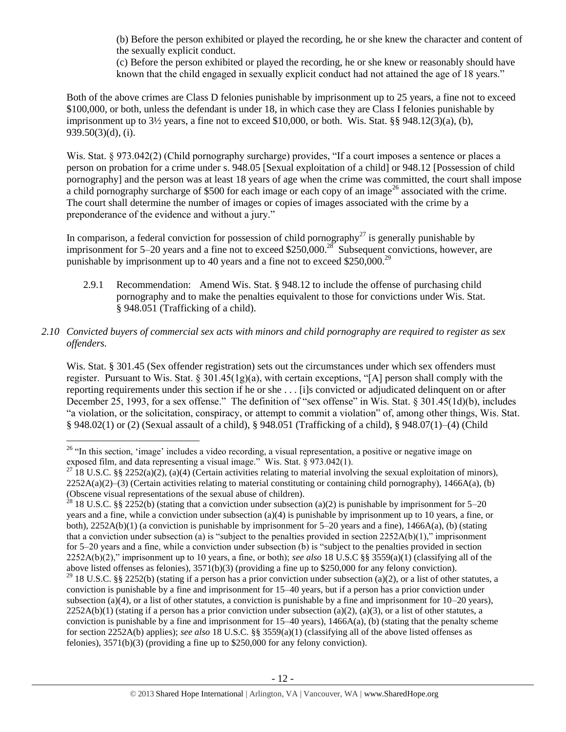(b) Before the person exhibited or played the recording, he or she knew the character and content of the sexually explicit conduct.

<span id="page-11-0"></span>(c) Before the person exhibited or played the recording, he or she knew or reasonably should have known that the child engaged in sexually explicit conduct had not attained the age of 18 years."

Both of the above crimes are Class D felonies punishable by imprisonment up to 25 years, a fine not to exceed \$100,000, or both, unless the defendant is under 18, in which case they are Class I felonies punishable by imprisonment up to  $3\frac{1}{2}$  years, a fine not to exceed \$10,000, or both. Wis. Stat. §§ 948.12(3)(a), (b), 939.50(3)(d), (i).

Wis. Stat. § 973.042(2) (Child pornography surcharge) provides, "If a court imposes a sentence or places a person on probation for a crime under s. 948.05 [Sexual exploitation of a child] or 948.12 [Possession of child pornography] and the person was at least 18 years of age when the crime was committed, the court shall impose a child pornography surcharge of \$500 for each image or each copy of an image<sup>26</sup> associated with the crime. The court shall determine the number of images or copies of images associated with the crime by a preponderance of the evidence and without a jury."

In comparison, a federal conviction for possession of child pornography<sup>27</sup> is generally punishable by imprisonment for 5–20 years and a fine not to exceed \$250,000.<sup>28</sup> Subsequent convictions, however, are punishable by imprisonment up to 40 years and a fine not to exceed \$250,000.<sup>29</sup>

2.9.1 Recommendation: Amend Wis. Stat. § 948.12 to include the offense of purchasing child pornography and to make the penalties equivalent to those for convictions under Wis. Stat. § 948.051 (Trafficking of a child).

## *2.10 Convicted buyers of commercial sex acts with minors and child pornography are required to register as sex offenders.*

Wis. Stat. § 301.45 (Sex offender registration) sets out the circumstances under which sex offenders must register. Pursuant to Wis. Stat.  $\S 301.45(1g)(a)$ , with certain exceptions, "[A] person shall comply with the reporting requirements under this section if he or she . . . [i]s convicted or adjudicated delinquent on or after December 25, 1993, for a sex offense." The definition of "sex offense" in Wis. Stat. § 301.45(1d)(b), includes "a violation, or the solicitation, conspiracy, or attempt to commit a violation" of, among other things, Wis. Stat. § 948.02(1) or (2) (Sexual assault of a child), § 948.051 (Trafficking of a child), § 948.07(1)–(4) (Child

 $\overline{\phantom{a}}$ <sup>26</sup> "In this section, 'image' includes a video recording, a visual representation, a positive or negative image on exposed film, and data representing a visual image." Wis. Stat. § 973.042(1).

<sup>&</sup>lt;sup>27</sup> 18 U.S.C. §§ 2252(a)(2), (a)(4) (Certain activities relating to material involving the sexual exploitation of minors),  $2252A(a)(2)$ –(3) (Certain activities relating to material constituting or containing child pornography), 1466A(a), (b) (Obscene visual representations of the sexual abuse of children).

<sup>&</sup>lt;sup>28</sup> 18 U.S.C. §§ 2252(b) (stating that a conviction under subsection (a)(2) is punishable by imprisonment for 5–20 years and a fine, while a conviction under subsection (a)(4) is punishable by imprisonment up to 10 years, a fine, or both),  $2252A(b)(1)$  (a conviction is punishable by imprisonment for 5–20 years and a fine),  $1466A(a)$ , (b) (stating that a conviction under subsection (a) is "subject to the penalties provided in section  $2252A(b)(1)$ ," imprisonment for 5–20 years and a fine, while a conviction under subsection (b) is "subject to the penalties provided in section 2252A(b)(2)," imprisonment up to 10 years, a fine, or both); *see also* 18 U.S.C §§ 3559(a)(1) (classifying all of the above listed offenses as felonies), 3571(b)(3) (providing a fine up to \$250,000 for any felony conviction).

<sup>&</sup>lt;sup>29</sup> 18 U.S.C. §§ 2252(b) (stating if a person has a prior conviction under subsection (a)(2), or a list of other statutes, a conviction is punishable by a fine and imprisonment for 15–40 years, but if a person has a prior conviction under subsection (a)(4), or a list of other statutes, a conviction is punishable by a fine and imprisonment for  $10-20$  years),  $2252A(b)(1)$  (stating if a person has a prior conviction under subsection (a)(2), (a)(3), or a list of other statutes, a conviction is punishable by a fine and imprisonment for  $15-40$  years),  $1466A(a)$ , (b) (stating that the penalty scheme for section 2252A(b) applies); *see also* 18 U.S.C. §§ 3559(a)(1) (classifying all of the above listed offenses as felonies), 3571(b)(3) (providing a fine up to \$250,000 for any felony conviction).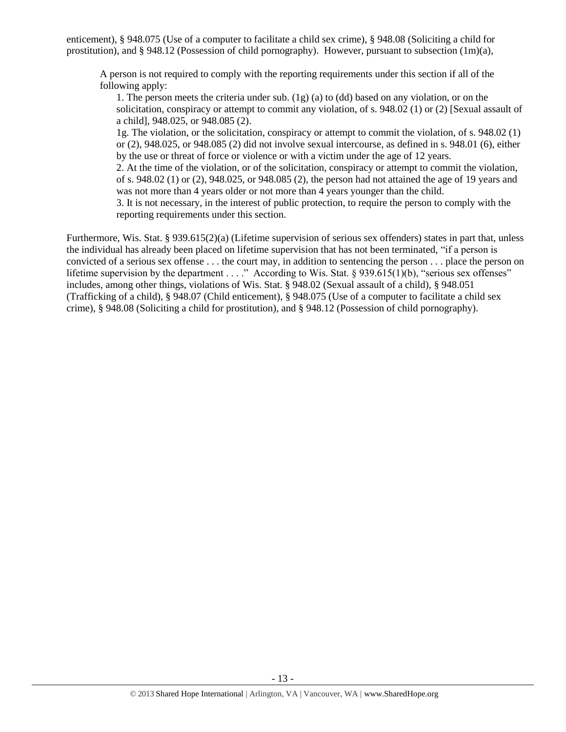enticement), § 948.075 (Use of a computer to facilitate a child sex crime), § 948.08 (Soliciting a child for prostitution), and § 948.12 (Possession of child pornography). However, pursuant to subsection (1m)(a),

A person is not required to comply with the reporting requirements under this section if all of the following apply:

1. The person meets the criteria under sub. (1g) (a) to (dd) based on any violation, or on the solicitation, conspiracy or attempt to commit any violation, of s. 948.02 (1) or (2) [Sexual assault of a child], 948.025, or 948.085 (2).

1g. The violation, or the solicitation, conspiracy or attempt to commit the violation, of s. 948.02 (1) or (2), 948.025, or 948.085 (2) did not involve sexual intercourse, as defined in s. 948.01 (6), either by the use or threat of force or violence or with a victim under the age of 12 years.

2. At the time of the violation, or of the solicitation, conspiracy or attempt to commit the violation, of s. 948.02 (1) or (2), 948.025, or 948.085 (2), the person had not attained the age of 19 years and was not more than 4 years older or not more than 4 years younger than the child.

3. It is not necessary, in the interest of public protection, to require the person to comply with the reporting requirements under this section.

Furthermore, Wis. Stat. § 939.615(2)(a) (Lifetime supervision of serious sex offenders) states in part that, unless the individual has already been placed on lifetime supervision that has not been terminated, "if a person is convicted of a serious sex offense . . . the court may, in addition to sentencing the person . . . place the person on lifetime supervision by the department . . . ." According to Wis. Stat. § 939.615(1)(b), "serious sex offenses" includes, among other things, violations of Wis. Stat. § 948.02 (Sexual assault of a child), § 948.051 (Trafficking of a child), § 948.07 (Child enticement), § 948.075 (Use of a computer to facilitate a child sex crime), § 948.08 (Soliciting a child for prostitution), and § 948.12 (Possession of child pornography).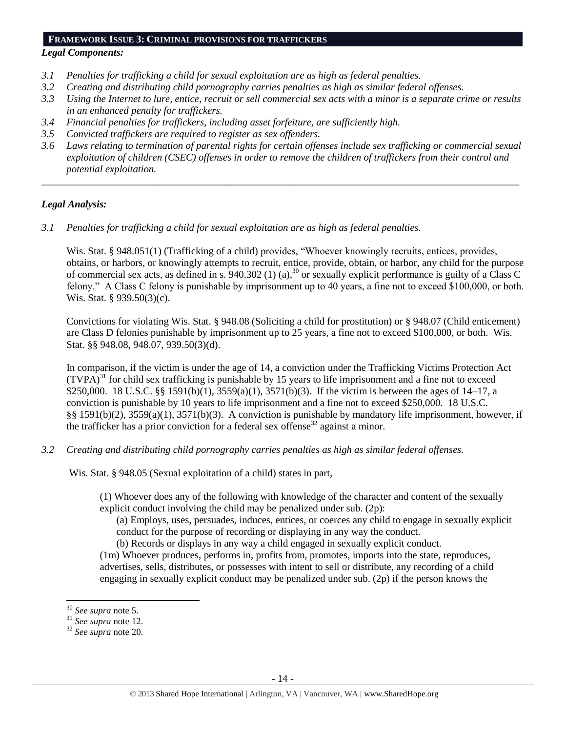#### **FRAMEWORK ISSUE 3: CRIMINAL PROVISIONS FOR TRAFFICKERS**

# *Legal Components:*

- *3.1 Penalties for trafficking a child for sexual exploitation are as high as federal penalties.*
- *3.2 Creating and distributing child pornography carries penalties as high as similar federal offenses.*
- *3.3 Using the Internet to lure, entice, recruit or sell commercial sex acts with a minor is a separate crime or results in an enhanced penalty for traffickers.*
- *3.4 Financial penalties for traffickers, including asset forfeiture, are sufficiently high.*
- *3.5 Convicted traffickers are required to register as sex offenders.*
- *3.6 Laws relating to termination of parental rights for certain offenses include sex trafficking or commercial sexual exploitation of children (CSEC) offenses in order to remove the children of traffickers from their control and potential exploitation.*

*\_\_\_\_\_\_\_\_\_\_\_\_\_\_\_\_\_\_\_\_\_\_\_\_\_\_\_\_\_\_\_\_\_\_\_\_\_\_\_\_\_\_\_\_\_\_\_\_\_\_\_\_\_\_\_\_\_\_\_\_\_\_\_\_\_\_\_\_\_\_\_\_\_\_\_\_\_\_\_\_\_\_\_\_\_\_\_\_\_\_\_\_\_\_*

## *Legal Analysis:*

*3.1 Penalties for trafficking a child for sexual exploitation are as high as federal penalties.* 

Wis. Stat. § 948.051(1) (Trafficking of a child) provides, "Whoever knowingly recruits, entices, provides, obtains, or harbors, or knowingly attempts to recruit, entice, provide, obtain, or harbor, any child for the purpose of commercial sex acts, as defined in s. 940.302 (1) (a),<sup>30</sup> or sexually explicit performance is guilty of a Class C felony." A Class C felony is punishable by imprisonment up to 40 years, a fine not to exceed \$100,000, or both. Wis. Stat. § 939.50(3)(c).

Convictions for violating Wis. Stat. § 948.08 (Soliciting a child for prostitution) or § 948.07 (Child enticement) are Class D felonies punishable by imprisonment up to 25 years, a fine not to exceed \$100,000, or both. Wis. Stat. §§ 948.08, 948.07, 939.50(3)(d).

In comparison, if the victim is under the age of 14, a conviction under the Trafficking Victims Protection Act  $(TVPA)<sup>31</sup>$  for child sex trafficking is punishable by 15 years to life imprisonment and a fine not to exceed \$250,000. 18 U.S.C. §§ 1591(b)(1), 3559(a)(1), 3571(b)(3). If the victim is between the ages of 14–17, a conviction is punishable by 10 years to life imprisonment and a fine not to exceed \$250,000. 18 U.S.C. §§ 1591(b)(2), 3559(a)(1), 3571(b)(3). A conviction is punishable by mandatory life imprisonment, however, if the trafficker has a prior conviction for a federal sex offense<sup>32</sup> against a minor.

*3.2 Creating and distributing child pornography carries penalties as high as similar federal offenses.*

Wis. Stat. § 948.05 (Sexual exploitation of a child) states in part,

(1) Whoever does any of the following with knowledge of the character and content of the sexually explicit conduct involving the child may be penalized under sub. (2p):

(a) Employs, uses, persuades, induces, entices, or coerces any child to engage in sexually explicit conduct for the purpose of recording or displaying in any way the conduct.

(b) Records or displays in any way a child engaged in sexually explicit conduct.

(1m) Whoever produces, performs in, profits from, promotes, imports into the state, reproduces, advertises, sells, distributes, or possesses with intent to sell or distribute, any recording of a child engaging in sexually explicit conduct may be penalized under sub. (2p) if the person knows the

 $\overline{a}$ 

<sup>30</sup> *See supra* note [5.](#page-1-1)

<sup>31</sup> *See supra* note [12.](#page-5-0)

<sup>32</sup> *See supra* note [20.](#page-7-0)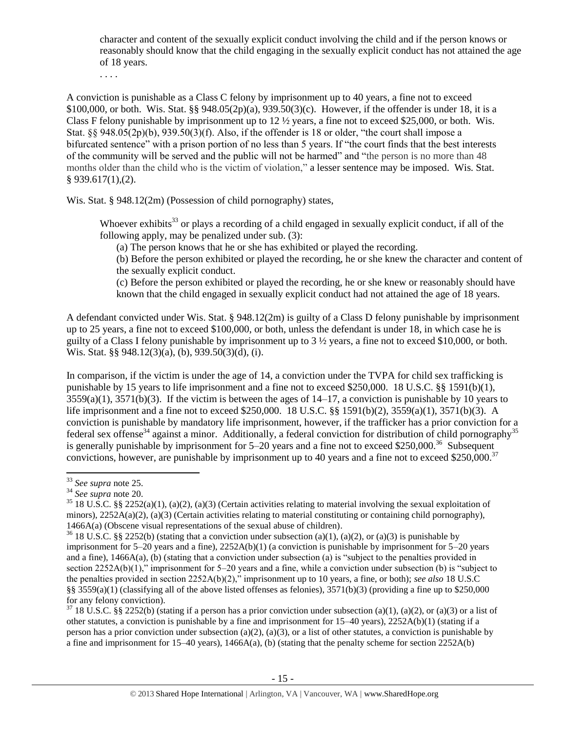character and content of the sexually explicit conduct involving the child and if the person knows or reasonably should know that the child engaging in the sexually explicit conduct has not attained the age of 18 years.

. . . .

A conviction is punishable as a Class C felony by imprisonment up to 40 years, a fine not to exceed \$100,000, or both. Wis. Stat. §§ 948.05(2p)(a), 939.50(3)(c). However, if the offender is under 18, it is a Class F felony punishable by imprisonment up to  $12 \frac{1}{2}$  years, a fine not to exceed \$25,000, or both. Wis. Stat. §§ 948.05(2p)(b), 939.50(3)(f). Also, if the offender is 18 or older, "the court shall impose a bifurcated sentence" with a prison portion of no less than 5 years. If "the court finds that the best interests of the community will be served and the public will not be harmed" and "the person is no more than 48 months older than the child who is the victim of violation," a lesser sentence may be imposed. Wis. Stat. § 939.617(1),(2).

Wis. Stat. § 948.12(2m) (Possession of child pornography) states,

Whoever exhibits<sup>33</sup> or plays a recording of a child engaged in sexually explicit conduct, if all of the following apply, may be penalized under sub. (3):

(a) The person knows that he or she has exhibited or played the recording.

(b) Before the person exhibited or played the recording, he or she knew the character and content of the sexually explicit conduct.

(c) Before the person exhibited or played the recording, he or she knew or reasonably should have known that the child engaged in sexually explicit conduct had not attained the age of 18 years.

A defendant convicted under Wis. Stat. § 948.12(2m) is guilty of a Class D felony punishable by imprisonment up to 25 years, a fine not to exceed \$100,000, or both, unless the defendant is under 18, in which case he is guilty of a Class I felony punishable by imprisonment up to 3 ½ years, a fine not to exceed \$10,000, or both. Wis. Stat. §§ 948.12(3)(a), (b), 939.50(3)(d), (i).

In comparison, if the victim is under the age of 14, a conviction under the TVPA for child sex trafficking is punishable by 15 years to life imprisonment and a fine not to exceed \$250,000. 18 U.S.C. §§ 1591(b)(1),  $3559(a)(1)$ ,  $3571(b)(3)$ . If the victim is between the ages of  $14-17$ , a conviction is punishable by 10 years to life imprisonment and a fine not to exceed \$250,000. 18 U.S.C. §§ 1591(b)(2), 3559(a)(1), 3571(b)(3). A conviction is punishable by mandatory life imprisonment, however, if the trafficker has a prior conviction for a federal sex offense<sup>34</sup> against a minor. Additionally, a federal conviction for distribution of child pornography<sup>35</sup> is generally punishable by imprisonment for  $5-20$  years and a fine not to exceed \$250,000.<sup>36</sup> Subsequent convictions, however, are punishable by imprisonment up to 40 years and a fine not to exceed \$250,000.<sup>37</sup>

 $\overline{a}$ 

 $37$  18 U.S.C. §§ 2252(b) (stating if a person has a prior conviction under subsection (a)(1), (a)(2), or (a)(3) or a list of other statutes, a conviction is punishable by a fine and imprisonment for 15–40 years), 2252A(b)(1) (stating if a person has a prior conviction under subsection (a)(2), (a)(3), or a list of other statutes, a conviction is punishable by a fine and imprisonment for  $15-40$  years),  $1466A(a)$ , (b) (stating that the penalty scheme for section 2252A(b)

<sup>33</sup> *See supra* note [25.](#page-10-0)

<sup>34</sup> *See supra* note [20.](#page-7-0)

<sup>&</sup>lt;sup>35</sup> 18 U.S.C. §§ 2252(a)(1), (a)(2), (a)(3) (Certain activities relating to material involving the sexual exploitation of minors), 2252A(a)(2), (a)(3) (Certain activities relating to material constituting or containing child pornography). 1466A(a) (Obscene visual representations of the sexual abuse of children).

<sup>&</sup>lt;sup>36</sup> 18 U.S.C. §§ 2252(b) (stating that a conviction under subsection (a)(1), (a)(2), or (a)(3) is punishable by imprisonment for  $5-20$  years and a fine),  $2252A(b)(1)$  (a conviction is punishable by imprisonment for  $5-20$  years and a fine), 1466A(a), (b) (stating that a conviction under subsection (a) is "subject to the penalties provided in section 2252A(b)(1)," imprisonment for 5–20 years and a fine, while a conviction under subsection (b) is "subject to the penalties provided in section 2252A(b)(2)," imprisonment up to 10 years, a fine, or both); *see also* 18 U.S.C §§ 3559(a)(1) (classifying all of the above listed offenses as felonies), 3571(b)(3) (providing a fine up to \$250,000 for any felony conviction).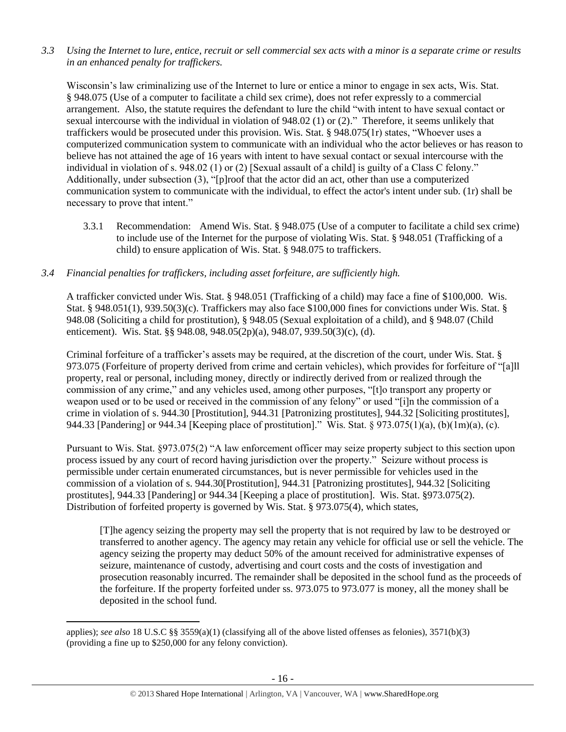*3.3 Using the Internet to lure, entice, recruit or sell commercial sex acts with a minor is a separate crime or results in an enhanced penalty for traffickers.*

Wisconsin's law criminalizing use of the Internet to lure or entice a minor to engage in sex acts, Wis. Stat. § 948.075 (Use of a computer to facilitate a child sex crime), does not refer expressly to a commercial arrangement. Also, the statute requires the defendant to lure the child "with intent to have sexual contact or sexual intercourse with the individual in violation of 948.02 (1) or (2)." Therefore, it seems unlikely that traffickers would be prosecuted under this provision. Wis. Stat. § 948.075(1r) states, "Whoever uses a computerized communication system to communicate with an individual who the actor believes or has reason to believe has not attained the age of 16 years with intent to have sexual contact or sexual intercourse with the individual in violation of s. 948.02 (1) or (2) [Sexual assault of a child] is guilty of a Class C felony." Additionally, under subsection (3), "[p]roof that the actor did an act, other than use a computerized communication system to communicate with the individual, to effect the actor's intent under sub. (1r) shall be necessary to prove that intent."

3.3.1 Recommendation: Amend Wis. Stat. § 948.075 (Use of a computer to facilitate a child sex crime) to include use of the Internet for the purpose of violating Wis. Stat. § 948.051 (Trafficking of a child) to ensure application of Wis. Stat. § 948.075 to traffickers.

## *3.4 Financial penalties for traffickers, including asset forfeiture, are sufficiently high.*

A trafficker convicted under Wis. Stat. § 948.051 (Trafficking of a child) may face a fine of \$100,000. Wis. Stat. § 948.051(1), 939.50(3)(c). Traffickers may also face \$100,000 fines for convictions under Wis. Stat. § 948.08 (Soliciting a child for prostitution), § 948.05 (Sexual exploitation of a child), and § 948.07 (Child enticement). Wis. Stat. §§ 948.08, 948.05(2p)(a), 948.07, 939.50(3)(c), (d).

Criminal forfeiture of a trafficker's assets may be required, at the discretion of the court, under Wis. Stat. § 973.075 (Forfeiture of property derived from crime and certain vehicles), which provides for forfeiture of "[a]ll property, real or personal, including money, directly or indirectly derived from or realized through the commission of any crime," and any vehicles used, among other purposes, "[t]o transport any property or weapon used or to be used or received in the commission of any felony" or used "[i]n the commission of a crime in violation of s. 944.30 [Prostitution], 944.31 [Patronizing prostitutes], 944.32 [Soliciting prostitutes], 944.33 [Pandering] or 944.34 [Keeping place of prostitution]." Wis. Stat. § 973.075(1)(a), (b)(1m)(a), (c).

Pursuant to Wis. Stat. §973.075(2) "A law enforcement officer may seize property subject to this section upon process issued by any court of record having jurisdiction over the property." Seizure without process is permissible under certain enumerated circumstances, but is never permissible for vehicles used in the commission of a violation of s. 944.30[Prostitution], 944.31 [Patronizing prostitutes], 944.32 [Soliciting prostitutes], 944.33 [Pandering] or 944.34 [Keeping a place of prostitution]. Wis. Stat. §973.075(2). Distribution of forfeited property is governed by Wis. Stat. § 973.075(4), which states,

[T]he agency seizing the property may sell the property that is not required by law to be destroyed or transferred to another agency. The agency may retain any vehicle for official use or sell the vehicle. The agency seizing the property may deduct 50% of the amount received for administrative expenses of seizure, maintenance of custody, advertising and court costs and the costs of investigation and prosecution reasonably incurred. The remainder shall be deposited in the school fund as the proceeds of the forfeiture. If the property forfeited under ss. 973.075 to 973.077 is money, all the money shall be deposited in the school fund.

l

applies); *see also* 18 U.S.C §§ 3559(a)(1) (classifying all of the above listed offenses as felonies), 3571(b)(3) (providing a fine up to \$250,000 for any felony conviction).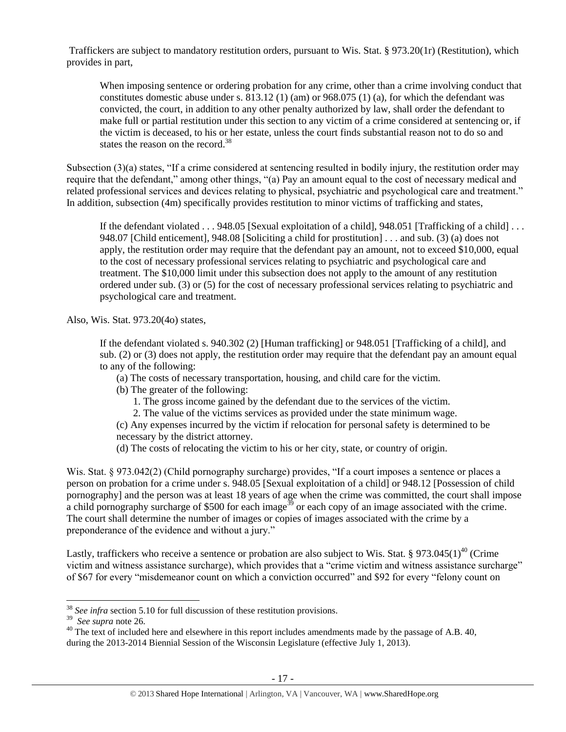Traffickers are subject to mandatory restitution orders, pursuant to Wis. Stat. § 973.20(1r) (Restitution), which provides in part,

When imposing sentence or ordering probation for any crime, other than a crime involving conduct that constitutes domestic abuse under s.  $813.12$  (1) (am) or  $968.075$  (1) (a), for which the defendant was convicted, the court, in addition to any other penalty authorized by law, shall order the defendant to make full or partial restitution under this section to any victim of a crime considered at sentencing or, if the victim is deceased, to his or her estate, unless the court finds substantial reason not to do so and states the reason on the record.<sup>38</sup>

Subsection (3)(a) states, "If a crime considered at sentencing resulted in bodily injury, the restitution order may require that the defendant," among other things, "(a) Pay an amount equal to the cost of necessary medical and related professional services and devices relating to physical, psychiatric and psychological care and treatment." In addition, subsection (4m) specifically provides restitution to minor victims of trafficking and states,

If the defendant violated . . . 948.05 [Sexual exploitation of a child], 948.051 [Trafficking of a child] . . . 948.07 [Child enticement], 948.08 [Soliciting a child for prostitution] . . . and sub. (3) (a) does not apply, the restitution order may require that the defendant pay an amount, not to exceed \$10,000, equal to the cost of necessary professional services relating to psychiatric and psychological care and treatment. The \$10,000 limit under this subsection does not apply to the amount of any restitution ordered under sub. (3) or (5) for the cost of necessary professional services relating to psychiatric and psychological care and treatment.

Also, Wis. Stat. 973.20(4o) states,

If the defendant violated s. 940.302 (2) [Human trafficking] or 948.051 [Trafficking of a child], and sub. (2) or (3) does not apply, the restitution order may require that the defendant pay an amount equal to any of the following:

(a) The costs of necessary transportation, housing, and child care for the victim.

- (b) The greater of the following:
	- 1. The gross income gained by the defendant due to the services of the victim.

2. The value of the victims services as provided under the state minimum wage.

(c) Any expenses incurred by the victim if relocation for personal safety is determined to be necessary by the district attorney.

(d) The costs of relocating the victim to his or her city, state, or country of origin.

Wis. Stat. § 973.042(2) (Child pornography surcharge) provides, "If a court imposes a sentence or places a person on probation for a crime under s. 948.05 [Sexual exploitation of a child] or 948.12 [Possession of child pornography] and the person was at least 18 years of age when the crime was committed, the court shall impose a child pornography surcharge of \$500 for each image<sup>39</sup> or each copy of an image associated with the crime. The court shall determine the number of images or copies of images associated with the crime by a preponderance of the evidence and without a jury."

Lastly, traffickers who receive a sentence or probation are also subject to Wis. Stat. § 973.045(1)<sup>40</sup> (Crime victim and witness assistance surcharge), which provides that a "crime victim and witness assistance surcharge" of \$67 for every "misdemeanor count on which a conviction occurred" and \$92 for every "felony count on

 $\overline{a}$ <sup>38</sup> See infra section 5.10 for full discussion of these restitution provisions.

<sup>39</sup> *See supra* note [26.](#page-11-0)

<sup>&</sup>lt;sup>40</sup> The text of included here and elsewhere in this report includes amendments made by the passage of A.B. 40, during the 2013-2014 Biennial Session of the Wisconsin Legislature (effective July 1, 2013).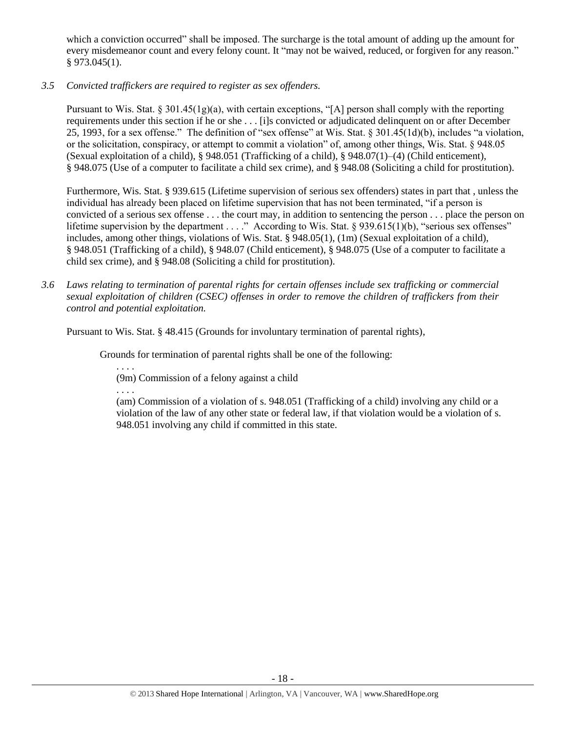which a conviction occurred" shall be imposed. The surcharge is the total amount of adding up the amount for every misdemeanor count and every felony count. It "may not be waived, reduced, or forgiven for any reason." § 973.045(1).

*3.5 Convicted traffickers are required to register as sex offenders.*

Pursuant to Wis. Stat.  $\S 301.45(1g)(a)$ , with certain exceptions, "[A] person shall comply with the reporting requirements under this section if he or she . . . [i]s convicted or adjudicated delinquent on or after December 25, 1993, for a sex offense." The definition of "sex offense" at Wis. Stat. § 301.45(1d)(b), includes "a violation, or the solicitation, conspiracy, or attempt to commit a violation" of, among other things, Wis. Stat. § 948.05 (Sexual exploitation of a child), § 948.051 (Trafficking of a child), § 948.07(1)–(4) (Child enticement), § 948.075 (Use of a computer to facilitate a child sex crime), and § 948.08 (Soliciting a child for prostitution).

Furthermore, Wis. Stat. § 939.615 (Lifetime supervision of serious sex offenders) states in part that , unless the individual has already been placed on lifetime supervision that has not been terminated, "if a person is convicted of a serious sex offense . . . the court may, in addition to sentencing the person . . . place the person on lifetime supervision by the department . . . ." According to Wis. Stat. § 939.615(1)(b), "serious sex offenses" includes, among other things, violations of Wis. Stat. § 948.05(1), (1m) (Sexual exploitation of a child), § 948.051 (Trafficking of a child), § 948.07 (Child enticement), § 948.075 (Use of a computer to facilitate a child sex crime), and § 948.08 (Soliciting a child for prostitution).

*3.6 Laws relating to termination of parental rights for certain offenses include sex trafficking or commercial sexual exploitation of children (CSEC) offenses in order to remove the children of traffickers from their control and potential exploitation.* 

Pursuant to Wis. Stat. § 48.415 (Grounds for involuntary termination of parental rights),

Grounds for termination of parental rights shall be one of the following:

. . . . (9m) Commission of a felony against a child

. . . .

(am) Commission of a violation of s. 948.051 (Trafficking of a child) involving any child or a violation of the law of any other state or federal law, if that violation would be a violation of s. 948.051 involving any child if committed in this state.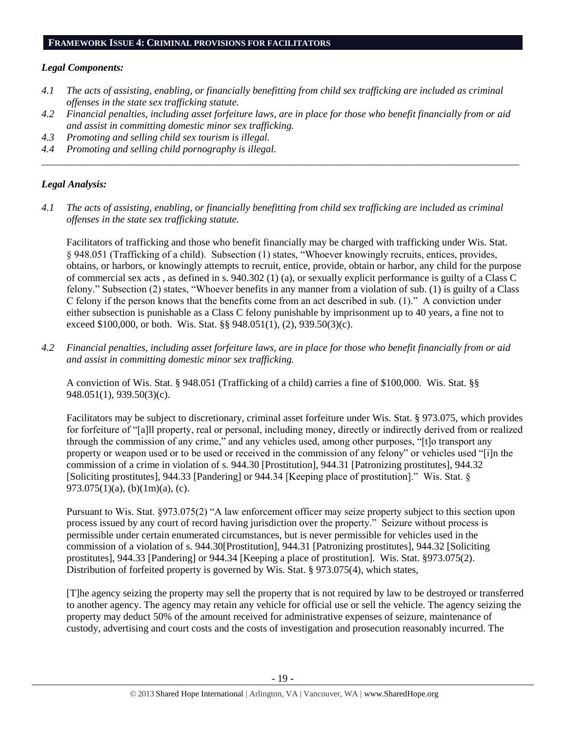#### **FRAMEWORK ISSUE 4: CRIMINAL PROVISIONS FOR FACILITATORS**

#### *Legal Components:*

- *4.1 The acts of assisting, enabling, or financially benefitting from child sex trafficking are included as criminal offenses in the state sex trafficking statute.*
- *4.2 Financial penalties, including asset forfeiture laws, are in place for those who benefit financially from or aid and assist in committing domestic minor sex trafficking.*

*\_\_\_\_\_\_\_\_\_\_\_\_\_\_\_\_\_\_\_\_\_\_\_\_\_\_\_\_\_\_\_\_\_\_\_\_\_\_\_\_\_\_\_\_\_\_\_\_\_\_\_\_\_\_\_\_\_\_\_\_\_\_\_\_\_\_\_\_\_\_\_\_\_\_\_\_\_\_\_\_\_\_\_\_\_\_\_\_\_\_\_\_\_\_*

- *4.3 Promoting and selling child sex tourism is illegal.*
- *4.4 Promoting and selling child pornography is illegal.*

## *Legal Analysis:*

*4.1 The acts of assisting, enabling, or financially benefitting from child sex trafficking are included as criminal offenses in the state sex trafficking statute.*

Facilitators of trafficking and those who benefit financially may be charged with trafficking under Wis. Stat. § 948.051 (Trafficking of a child). Subsection (1) states, "Whoever knowingly recruits, entices, provides, obtains, or harbors, or knowingly attempts to recruit, entice, provide, obtain or harbor, any child for the purpose of commercial sex acts , as defined in s. 940.302 (1) (a), or sexually explicit performance is guilty of a Class C felony." Subsection (2) states, "Whoever benefits in any manner from a violation of sub. (1) is guilty of a Class C felony if the person knows that the benefits come from an act described in sub. (1)." A conviction under either subsection is punishable as a Class C felony punishable by imprisonment up to 40 years, a fine not to exceed \$100,000, or both. Wis. Stat. §§ 948.051(1), (2), 939.50(3)(c).

*4.2 Financial penalties, including asset forfeiture laws, are in place for those who benefit financially from or aid and assist in committing domestic minor sex trafficking.*

A conviction of Wis. Stat. § 948.051 (Trafficking of a child) carries a fine of \$100,000. Wis. Stat. §§ 948.051(1), 939.50(3)(c).

Facilitators may be subject to discretionary, criminal asset forfeiture under Wis. Stat. § 973.075, which provides for forfeiture of "[a]ll property, real or personal, including money, directly or indirectly derived from or realized through the commission of any crime," and any vehicles used, among other purposes, "[t]o transport any property or weapon used or to be used or received in the commission of any felony" or vehicles used "[i]n the commission of a crime in violation of s. 944.30 [Prostitution], 944.31 [Patronizing prostitutes], 944.32 [Soliciting prostitutes], 944.33 [Pandering] or 944.34 [Keeping place of prostitution]." Wis. Stat. § 973.075(1)(a), (b)(1m)(a), (c).

Pursuant to Wis. Stat. §973.075(2) "A law enforcement officer may seize property subject to this section upon process issued by any court of record having jurisdiction over the property." Seizure without process is permissible under certain enumerated circumstances, but is never permissible for vehicles used in the commission of a violation of s. 944.30[Prostitution], 944.31 [Patronizing prostitutes], 944.32 [Soliciting prostitutes], 944.33 [Pandering] or 944.34 [Keeping a place of prostitution]. Wis. Stat. §973.075(2). Distribution of forfeited property is governed by Wis. Stat. § 973.075(4), which states,

[T]he agency seizing the property may sell the property that is not required by law to be destroyed or transferred to another agency. The agency may retain any vehicle for official use or sell the vehicle. The agency seizing the property may deduct 50% of the amount received for administrative expenses of seizure, maintenance of custody, advertising and court costs and the costs of investigation and prosecution reasonably incurred. The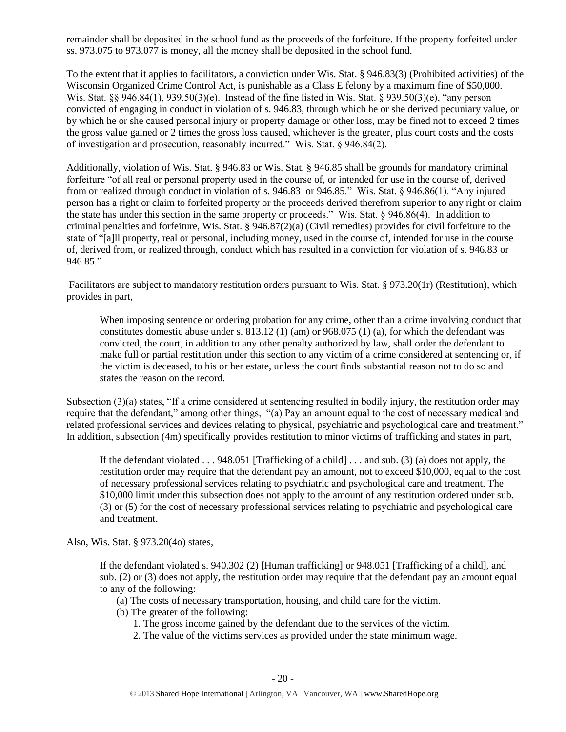remainder shall be deposited in the school fund as the proceeds of the forfeiture. If the property forfeited under ss. 973.075 to 973.077 is money, all the money shall be deposited in the school fund.

To the extent that it applies to facilitators, a conviction under Wis. Stat. § 946.83(3) (Prohibited activities) of the Wisconsin Organized Crime Control Act, is punishable as a Class E felony by a maximum fine of \$50,000. Wis. Stat. §§ 946.84(1), 939.50(3)(e). Instead of the fine listed in Wis. Stat. § 939.50(3)(e), "any person convicted of engaging in conduct in violation of s. 946.83, through which he or she derived pecuniary value, or by which he or she caused personal injury or property damage or other loss, may be fined not to exceed 2 times the gross value gained or 2 times the gross loss caused, whichever is the greater, plus court costs and the costs of investigation and prosecution, reasonably incurred." Wis. Stat. § 946.84(2).

Additionally, violation of Wis. Stat. § 946.83 or Wis. Stat. § 946.85 shall be grounds for mandatory criminal forfeiture "of all real or personal property used in the course of, or intended for use in the course of, derived from or realized through conduct in violation of s. 946.83 or 946.85." Wis. Stat. § 946.86(1). "Any injured person has a right or claim to forfeited property or the proceeds derived therefrom superior to any right or claim the state has under this section in the same property or proceeds." Wis. Stat. § 946.86(4). In addition to criminal penalties and forfeiture, Wis. Stat. § 946.87(2)(a) (Civil remedies) provides for civil forfeiture to the state of "[a]ll property, real or personal, including money, used in the course of, intended for use in the course of, derived from, or realized through, conduct which has resulted in a conviction for violation of s. 946.83 or 946.85."

Facilitators are subject to mandatory restitution orders pursuant to Wis. Stat. § 973.20(1r) (Restitution), which provides in part,

When imposing sentence or ordering probation for any crime, other than a crime involving conduct that constitutes domestic abuse under s. 813.12 (1) (am) or 968.075 (1) (a), for which the defendant was convicted, the court, in addition to any other penalty authorized by law, shall order the defendant to make full or partial restitution under this section to any victim of a crime considered at sentencing or, if the victim is deceased, to his or her estate, unless the court finds substantial reason not to do so and states the reason on the record.

Subsection (3)(a) states, "If a crime considered at sentencing resulted in bodily injury, the restitution order may require that the defendant," among other things, "(a) Pay an amount equal to the cost of necessary medical and related professional services and devices relating to physical, psychiatric and psychological care and treatment." In addition, subsection (4m) specifically provides restitution to minor victims of trafficking and states in part,

If the defendant violated . . . 948.051 [Trafficking of a child] . . . and sub. (3) (a) does not apply, the restitution order may require that the defendant pay an amount, not to exceed \$10,000, equal to the cost of necessary professional services relating to psychiatric and psychological care and treatment. The \$10,000 limit under this subsection does not apply to the amount of any restitution ordered under sub. (3) or (5) for the cost of necessary professional services relating to psychiatric and psychological care and treatment.

Also, Wis. Stat. § 973.20(4o) states,

If the defendant violated s. 940.302 (2) [Human trafficking] or 948.051 [Trafficking of a child], and sub. (2) or (3) does not apply, the restitution order may require that the defendant pay an amount equal to any of the following:

- (a) The costs of necessary transportation, housing, and child care for the victim.
- (b) The greater of the following:
	- 1. The gross income gained by the defendant due to the services of the victim.
	- 2. The value of the victims services as provided under the state minimum wage.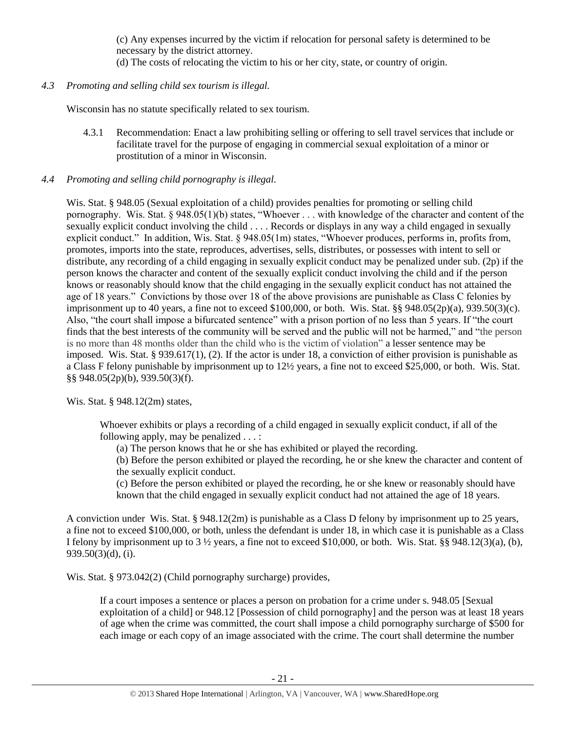(c) Any expenses incurred by the victim if relocation for personal safety is determined to be necessary by the district attorney.

- (d) The costs of relocating the victim to his or her city, state, or country of origin.
- *4.3 Promoting and selling child sex tourism is illegal.*

Wisconsin has no statute specifically related to sex tourism.

4.3.1 Recommendation: Enact a law prohibiting selling or offering to sell travel services that include or facilitate travel for the purpose of engaging in commercial sexual exploitation of a minor or prostitution of a minor in Wisconsin.

## *4.4 Promoting and selling child pornography is illegal.*

Wis. Stat. § 948.05 (Sexual exploitation of a child) provides penalties for promoting or selling child pornography. Wis. Stat. § 948.05(1)(b) states, "Whoever . . . with knowledge of the character and content of the sexually explicit conduct involving the child . . . . Records or displays in any way a child engaged in sexually explicit conduct." In addition, Wis. Stat. § 948.05(1m) states, "Whoever produces, performs in, profits from, promotes, imports into the state, reproduces, advertises, sells, distributes, or possesses with intent to sell or distribute, any recording of a child engaging in sexually explicit conduct may be penalized under sub. (2p) if the person knows the character and content of the sexually explicit conduct involving the child and if the person knows or reasonably should know that the child engaging in the sexually explicit conduct has not attained the age of 18 years." Convictions by those over 18 of the above provisions are punishable as Class C felonies by imprisonment up to 40 years, a fine not to exceed \$100,000, or both. Wis. Stat. §§ 948.05(2p)(a), 939.50(3)(c). Also, "the court shall impose a bifurcated sentence" with a prison portion of no less than 5 years. If "the court finds that the best interests of the community will be served and the public will not be harmed," and "the person is no more than 48 months older than the child who is the victim of violation" a lesser sentence may be imposed. Wis. Stat. § 939.617(1), (2). If the actor is under 18, a conviction of either provision is punishable as a Class F felony punishable by imprisonment up to 12½ years, a fine not to exceed \$25,000, or both. Wis. Stat. §§ 948.05(2p)(b), 939.50(3)(f).

Wis. Stat. § 948.12(2m) states,

Whoever exhibits or plays a recording of a child engaged in sexually explicit conduct, if all of the following apply, may be penalized . . . :

(a) The person knows that he or she has exhibited or played the recording.

(b) Before the person exhibited or played the recording, he or she knew the character and content of the sexually explicit conduct.

(c) Before the person exhibited or played the recording, he or she knew or reasonably should have known that the child engaged in sexually explicit conduct had not attained the age of 18 years.

A conviction under Wis. Stat. § 948.12(2m) is punishable as a Class D felony by imprisonment up to 25 years, a fine not to exceed \$100,000, or both, unless the defendant is under 18, in which case it is punishable as a Class I felony by imprisonment up to  $3\frac{1}{2}$  years, a fine not to exceed \$10,000, or both. Wis. Stat. §§ 948.12(3)(a), (b), 939.50(3)(d), (i).

Wis. Stat. § 973.042(2) (Child pornography surcharge) provides,

If a court imposes a sentence or places a person on probation for a crime under s. 948.05 [Sexual exploitation of a child] or 948.12 [Possession of child pornography] and the person was at least 18 years of age when the crime was committed, the court shall impose a child pornography surcharge of \$500 for each image or each copy of an image associated with the crime. The court shall determine the number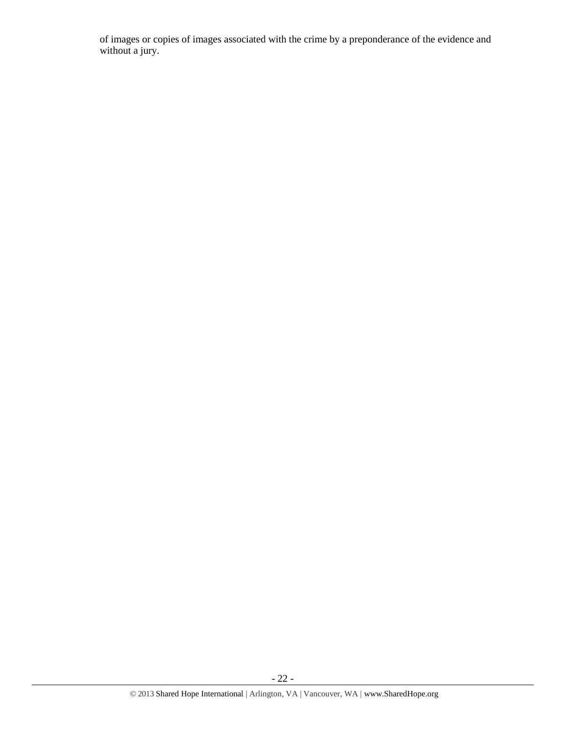of images or copies of images associated with the crime by a preponderance of the evidence and without a jury.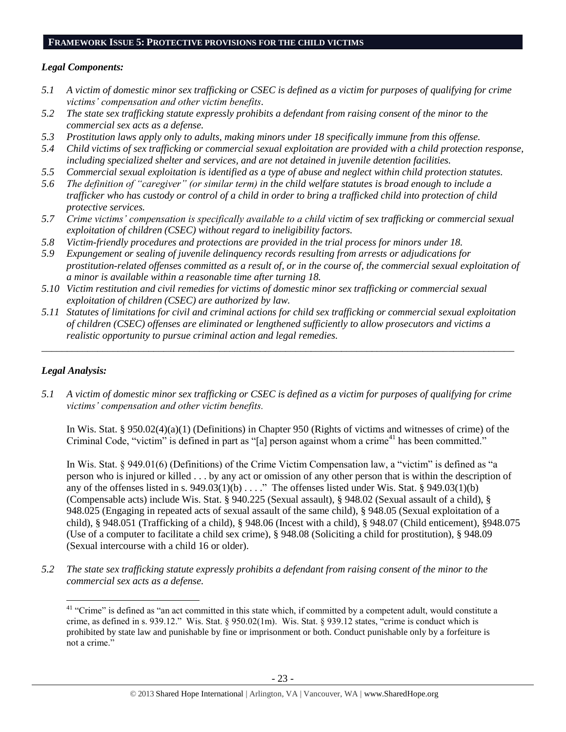#### **FRAMEWORK ISSUE 5: PROTECTIVE PROVISIONS FOR THE CHILD VICTIMS**

## *Legal Components:*

- *5.1 A victim of domestic minor sex trafficking or CSEC is defined as a victim for purposes of qualifying for crime victims' compensation and other victim benefits.*
- *5.2 The state sex trafficking statute expressly prohibits a defendant from raising consent of the minor to the commercial sex acts as a defense.*
- *5.3 Prostitution laws apply only to adults, making minors under 18 specifically immune from this offense.*
- *5.4 Child victims of sex trafficking or commercial sexual exploitation are provided with a child protection response, including specialized shelter and services, and are not detained in juvenile detention facilities.*
- *5.5 Commercial sexual exploitation is identified as a type of abuse and neglect within child protection statutes.*
- *5.6 The definition of "caregiver" (or similar term) in the child welfare statutes is broad enough to include a trafficker who has custody or control of a child in order to bring a trafficked child into protection of child protective services.*
- *5.7 Crime victims' compensation is specifically available to a child victim of sex trafficking or commercial sexual exploitation of children (CSEC) without regard to ineligibility factors.*
- *5.8 Victim-friendly procedures and protections are provided in the trial process for minors under 18.*
- *5.9 Expungement or sealing of juvenile delinquency records resulting from arrests or adjudications for prostitution-related offenses committed as a result of, or in the course of, the commercial sexual exploitation of a minor is available within a reasonable time after turning 18.*
- *5.10 Victim restitution and civil remedies for victims of domestic minor sex trafficking or commercial sexual exploitation of children (CSEC) are authorized by law.*
- *5.11 Statutes of limitations for civil and criminal actions for child sex trafficking or commercial sexual exploitation of children (CSEC) offenses are eliminated or lengthened sufficiently to allow prosecutors and victims a realistic opportunity to pursue criminal action and legal remedies.*

*\_\_\_\_\_\_\_\_\_\_\_\_\_\_\_\_\_\_\_\_\_\_\_\_\_\_\_\_\_\_\_\_\_\_\_\_\_\_\_\_\_\_\_\_\_\_\_\_\_\_\_\_\_\_\_\_\_\_\_\_\_\_\_\_\_\_\_\_\_\_\_\_\_\_\_\_\_\_\_\_\_\_\_\_\_\_\_\_\_\_\_\_\_*

## *Legal Analysis:*

*5.1 A victim of domestic minor sex trafficking or CSEC is defined as a victim for purposes of qualifying for crime victims' compensation and other victim benefits.*

In Wis. Stat. § 950.02(4)(a)(1) (Definitions) in Chapter 950 (Rights of victims and witnesses of crime) of the Criminal Code, "victim" is defined in part as "[a] person against whom a crime<sup>41</sup> has been committed."

In Wis. Stat. § 949.01(6) (Definitions) of the Crime Victim Compensation law, a "victim" is defined as "a person who is injured or killed . . . by any act or omission of any other person that is within the description of any of the offenses listed in s.  $949.03(1)(b)$ ...." The offenses listed under Wis. Stat. §  $949.03(1)(b)$ (Compensable acts) include Wis. Stat. § 940.225 (Sexual assault), § 948.02 (Sexual assault of a child), § 948.025 (Engaging in repeated acts of sexual assault of the same child), § 948.05 (Sexual exploitation of a child), § 948.051 (Trafficking of a child), § 948.06 (Incest with a child), § 948.07 (Child enticement), §948.075 (Use of a computer to facilitate a child sex crime), § 948.08 (Soliciting a child for prostitution), § 948.09 (Sexual intercourse with a child 16 or older).

*5.2 The state sex trafficking statute expressly prohibits a defendant from raising consent of the minor to the commercial sex acts as a defense.*

 $\overline{a}$ <sup>41</sup> "Crime" is defined as "an act committed in this state which, if committed by a competent adult, would constitute a crime, as defined in s. 939.12." Wis. Stat. § 950.02(1m). Wis. Stat. § 939.12 states, "crime is conduct which is prohibited by state law and punishable by fine or imprisonment or both. Conduct punishable only by a forfeiture is not a crime."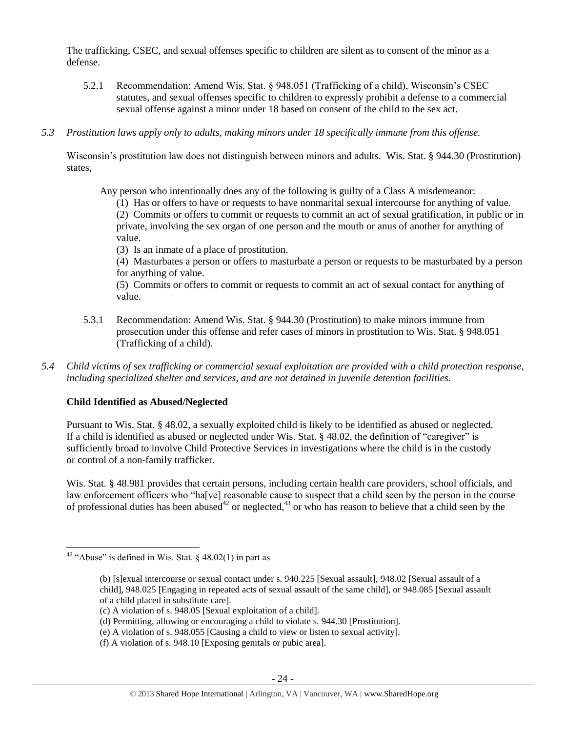The trafficking, CSEC, and sexual offenses specific to children are silent as to consent of the minor as a defense.

- 5.2.1 Recommendation: Amend Wis. Stat. § 948.051 (Trafficking of a child), Wisconsin's CSEC statutes, and sexual offenses specific to children to expressly prohibit a defense to a commercial sexual offense against a minor under 18 based on consent of the child to the sex act.
- *5.3 Prostitution laws apply only to adults, making minors under 18 specifically immune from this offense.*

Wisconsin's prostitution law does not distinguish between minors and adults. Wis. Stat. § 944.30 (Prostitution) states,

Any person who intentionally does any of the following is guilty of a Class A misdemeanor:

- (1) Has or offers to have or requests to have nonmarital sexual intercourse for anything of value. (2) Commits or offers to commit or requests to commit an act of sexual gratification, in public or in private, involving the sex organ of one person and the mouth or anus of another for anything of
- (3) Is an inmate of a place of prostitution.

(4) Masturbates a person or offers to masturbate a person or requests to be masturbated by a person for anything of value.

(5) Commits or offers to commit or requests to commit an act of sexual contact for anything of value.

- 5.3.1 Recommendation: Amend Wis. Stat. § 944.30 (Prostitution) to make minors immune from prosecution under this offense and refer cases of minors in prostitution to Wis. Stat. § 948.051 (Trafficking of a child).
- *5.4 Child victims of sex trafficking or commercial sexual exploitation are provided with a child protection response, including specialized shelter and services, and are not detained in juvenile detention facilities.*

## **Child Identified as Abused/Neglected**

value.

Pursuant to Wis. Stat. § 48.02, a sexually exploited child is likely to be identified as abused or neglected. If a child is identified as abused or neglected under Wis. Stat. § 48.02, the definition of "caregiver" is sufficiently broad to involve Child Protective Services in investigations where the child is in the custody or control of a non-family trafficker.

Wis. Stat. § 48.981 provides that certain persons, including certain health care providers, school officials, and law enforcement officers who "ha[ve] reasonable cause to suspect that a child seen by the person in the course of professional duties has been abused<sup>42</sup> or neglected,<sup>43</sup> or who has reason to believe that a child seen by the

 $\overline{\phantom{a}}$ 

<sup>&</sup>lt;sup>42</sup> "Abuse" is defined in Wis. Stat. § 48.02(1) in part as

<sup>(</sup>b) [s]exual intercourse or sexual contact under s. 940.225 [Sexual assault], 948.02 [Sexual assault of a child], 948.025 [Engaging in repeated acts of sexual assault of the same child], or 948.085 [Sexual assault of a child placed in substitute care].

<sup>(</sup>c) A violation of s. 948.05 [Sexual exploitation of a child].

<sup>(</sup>d) Permitting, allowing or encouraging a child to violate s. 944.30 [Prostitution].

<sup>(</sup>e) A violation of s. 948.055 [Causing a child to view or listen to sexual activity].

<sup>(</sup>f) A violation of s. 948.10 [Exposing genitals or pubic area].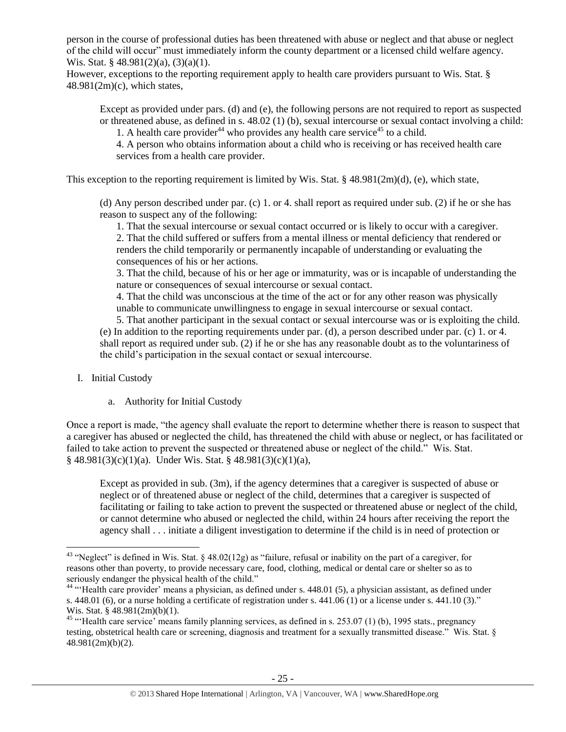person in the course of professional duties has been threatened with abuse or neglect and that abuse or neglect of the child will occur" must immediately inform the county department or a licensed child welfare agency. Wis. Stat. §  $48.981(2)(a)$ ,  $(3)(a)(1)$ .

However, exceptions to the reporting requirement apply to health care providers pursuant to Wis. Stat. §  $48.981(2m)(c)$ , which states,

Except as provided under pars. (d) and (e), the following persons are not required to report as suspected or threatened abuse, as defined in s. 48.02 (1) (b), sexual intercourse or sexual contact involving a child: 1. A health care provider<sup>44</sup> who provides any health care service<sup>45</sup> to a child.

4. A person who obtains information about a child who is receiving or has received health care services from a health care provider.

This exception to the reporting requirement is limited by Wis. Stat. § 48.981(2m)(d), (e), which state,

(d) Any person described under par. (c) 1. or 4. shall report as required under sub. (2) if he or she has reason to suspect any of the following:

1. That the sexual intercourse or sexual contact occurred or is likely to occur with a caregiver.

2. That the child suffered or suffers from a mental illness or mental deficiency that rendered or renders the child temporarily or permanently incapable of understanding or evaluating the consequences of his or her actions.

3. That the child, because of his or her age or immaturity, was or is incapable of understanding the nature or consequences of sexual intercourse or sexual contact.

4. That the child was unconscious at the time of the act or for any other reason was physically unable to communicate unwillingness to engage in sexual intercourse or sexual contact.

5. That another participant in the sexual contact or sexual intercourse was or is exploiting the child. (e) In addition to the reporting requirements under par. (d), a person described under par. (c) 1. or 4. shall report as required under sub. (2) if he or she has any reasonable doubt as to the voluntariness of the child's participation in the sexual contact or sexual intercourse.

I. Initial Custody

 $\overline{\phantom{a}}$ 

a. Authority for Initial Custody

Once a report is made, "the agency shall evaluate the report to determine whether there is reason to suspect that a caregiver has abused or neglected the child, has threatened the child with abuse or neglect, or has facilitated or failed to take action to prevent the suspected or threatened abuse or neglect of the child." Wis. Stat. § 48.981(3)(c)(1)(a). Under Wis. Stat. § 48.981(3)(c)(1)(a),

Except as provided in sub. (3m), if the agency determines that a caregiver is suspected of abuse or neglect or of threatened abuse or neglect of the child, determines that a caregiver is suspected of facilitating or failing to take action to prevent the suspected or threatened abuse or neglect of the child, or cannot determine who abused or neglected the child, within 24 hours after receiving the report the agency shall . . . initiate a diligent investigation to determine if the child is in need of protection or

<sup>&</sup>lt;sup>43</sup> "Neglect" is defined in Wis. Stat. § 48.02(12g) as "failure, refusal or inability on the part of a caregiver, for reasons other than poverty, to provide necessary care, food, clothing, medical or dental care or shelter so as to seriously endanger the physical health of the child."

<sup>&</sup>lt;sup>44</sup> "Health care provider' means a physician, as defined under s. 448.01 (5), a physician assistant, as defined under s. [448.01 \(6\),](https://docs.legis.wisconsin.gov/document/statutes/448.01%286%29) or a nurse holding a certificate of registration under s. 441.06 (1) or a license under s. 441.10 (3)." Wis. Stat. § 48.981(2m)(b)(1).

<sup>&</sup>lt;sup>45</sup> "'Health care service' means family planning services, as defined in s. 253.07 (1) (b), 1995 stats., pregnancy testing, obstetrical health care or screening, diagnosis and treatment for a sexually transmitted disease." Wis. Stat. § 48.981(2m)(b)(2).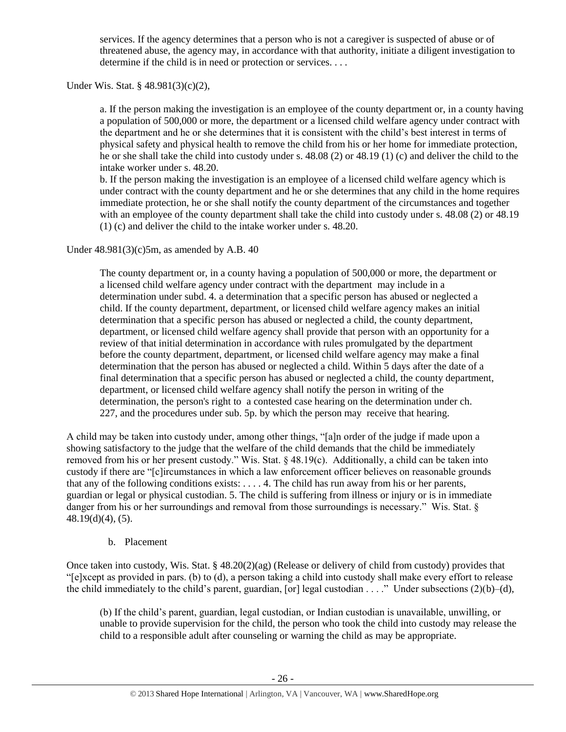services. If the agency determines that a person who is not a caregiver is suspected of abuse or of threatened abuse, the agency may, in accordance with that authority, initiate a diligent investigation to determine if the child is in need or protection or services. . . .

Under Wis. Stat. § 48.981(3)(c)(2),

a. If the person making the investigation is an employee of the county department or, in a county having a population of 500,000 or more, the department or a licensed child welfare agency under contract with the department and he or she determines that it is consistent with the child's best interest in terms of physical safety and physical health to remove the child from his or her home for immediate protection, he or she shall take the child into custody under s. 48.08 (2) or 48.19 (1) (c) and deliver the child to the intake worker under s. 48.20.

b. If the person making the investigation is an employee of a licensed child welfare agency which is under contract with the county department and he or she determines that any child in the home requires immediate protection, he or she shall notify the county department of the circumstances and together with an employee of the county department shall take the child into custody under s. 48.08 (2) or 48.19 (1) (c) and deliver the child to the intake worker under s. 48.20.

Under  $48.981(3)(c)5m$ , as amended by A.B. 40

The county department or, in a county having a population of 500,000 or more, the department or a licensed child welfare agency under contract with the department may include in a determination under subd. 4. a determination that a specific person has abused or neglected a child. If the county department, department, or licensed child welfare agency makes an initial determination that a specific person has abused or neglected a child, the county department, department, or licensed child welfare agency shall provide that person with an opportunity for a review of that initial determination in accordance with rules promulgated by the department before the county department, department, or licensed child welfare agency may make a final determination that the person has abused or neglected a child. Within 5 days after the date of a final determination that a specific person has abused or neglected a child, the county department, department, or licensed child welfare agency shall notify the person in writing of the determination, the person's right to a contested case hearing on the determination under ch. 227, and the procedures under sub. 5p. by which the person may receive that hearing.

A child may be taken into custody under, among other things, "[a]n order of the judge if made upon a showing satisfactory to the judge that the welfare of the child demands that the child be immediately removed from his or her present custody." Wis. Stat. § 48.19(c). Additionally, a child can be taken into custody if there are "[c]ircumstances in which a law enforcement officer believes on reasonable grounds that any of the following conditions exists: . . . . 4. The child has run away from his or her parents, guardian or legal or physical custodian. 5. The child is suffering from illness or injury or is in immediate danger from his or her surroundings and removal from those surroundings is necessary." Wis. Stat. § 48.19(d)(4), (5).

## b. Placement

Once taken into custody, Wis. Stat. § 48.20(2)(ag) (Release or delivery of child from custody) provides that "[e]xcept as provided in pars. (b) to (d), a person taking a child into custody shall make every effort to release the child immediately to the child's parent, guardian, [or] legal custodian . . . ." Under subsections  $(2)(b)-(d)$ ,

(b) If the child's parent, guardian, legal custodian, or Indian custodian is unavailable, unwilling, or unable to provide supervision for the child, the person who took the child into custody may release the child to a responsible adult after counseling or warning the child as may be appropriate.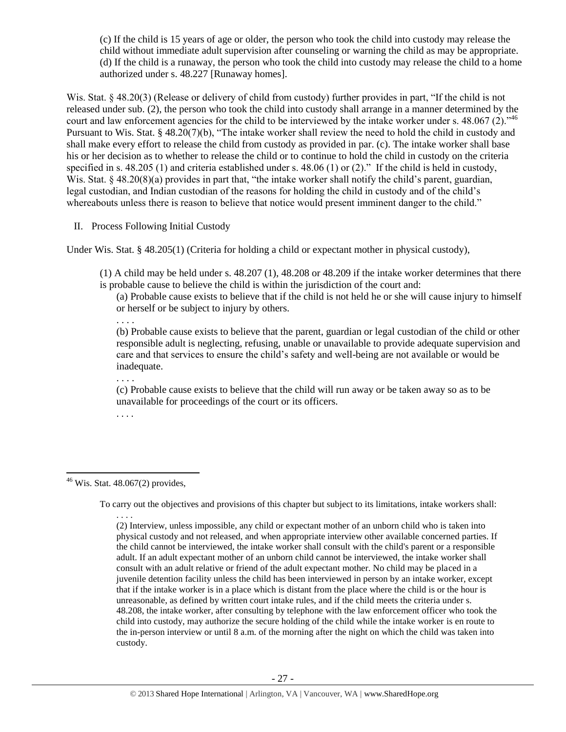(c) If the child is 15 years of age or older, the person who took the child into custody may release the child without immediate adult supervision after counseling or warning the child as may be appropriate. (d) If the child is a runaway, the person who took the child into custody may release the child to a home authorized under s. 48.227 [Runaway homes].

Wis. Stat. § 48.20(3) (Release or delivery of child from custody) further provides in part, "If the child is not released under sub. (2), the person who took the child into custody shall arrange in a manner determined by the court and law enforcement agencies for the child to be interviewed by the intake worker under s.  $48.067(2)$ .<sup>46</sup> Pursuant to Wis. Stat. § 48.20(7)(b), "The intake worker shall review the need to hold the child in custody and shall make every effort to release the child from custody as provided in par. (c). The intake worker shall base his or her decision as to whether to release the child or to continue to hold the child in custody on the criteria specified in s. 48.205 (1) and criteria established under s. 48.06 (1) or (2)." If the child is held in custody, Wis. Stat. § 48.20(8)(a) provides in part that, "the intake worker shall notify the child's parent, guardian, legal custodian, and Indian custodian of the reasons for holding the child in custody and of the child's whereabouts unless there is reason to believe that notice would present imminent danger to the child."

II. Process Following Initial Custody

Under Wis. Stat. § 48.205(1) (Criteria for holding a child or expectant mother in physical custody),

(1) A child may be held under s. 48.207 (1), 48.208 or 48.209 if the intake worker determines that there is probable cause to believe the child is within the jurisdiction of the court and:

(a) Probable cause exists to believe that if the child is not held he or she will cause injury to himself or herself or be subject to injury by others.

. . . .

(b) Probable cause exists to believe that the parent, guardian or legal custodian of the child or other responsible adult is neglecting, refusing, unable or unavailable to provide adequate supervision and care and that services to ensure the child's safety and well-being are not available or would be inadequate. . . . .

(c) Probable cause exists to believe that the child will run away or be taken away so as to be unavailable for proceedings of the court or its officers.

. . . .

 $\overline{a}$  $46$  Wis. Stat.  $48.067(2)$  provides,

To carry out the objectives and provisions of this chapter but subject to its limitations, intake workers shall:

. . . . (2) Interview, unless impossible, any child or expectant mother of an unborn child who is taken into physical custody and not released, and when appropriate interview other available concerned parties. If the child cannot be interviewed, the intake worker shall consult with the child's parent or a responsible adult. If an adult expectant mother of an unborn child cannot be interviewed, the intake worker shall consult with an adult relative or friend of the adult expectant mother. No child may be placed in a juvenile detention facility unless the child has been interviewed in person by an intake worker, except that if the intake worker is in a place which is distant from the place where the child is or the hour is unreasonable, as defined by written court intake rules, and if the child meets the criteria under s. 48.208, the intake worker, after consulting by telephone with the law enforcement officer who took the child into custody, may authorize the secure holding of the child while the intake worker is en route to the in-person interview or until 8 a.m. of the morning after the night on which the child was taken into custody.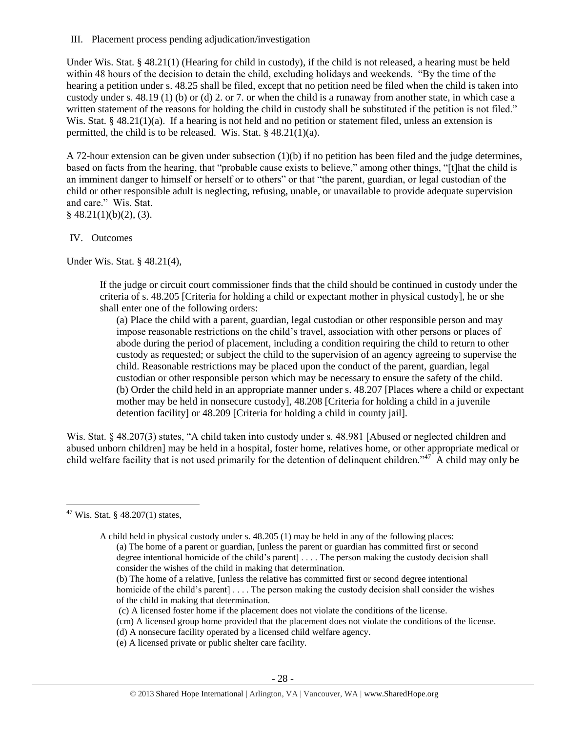III. Placement process pending adjudication/investigation

Under Wis. Stat. § 48.21(1) (Hearing for child in custody), if the child is not released, a hearing must be held within 48 hours of the decision to detain the child, excluding holidays and weekends. "By the time of the hearing a petition under s. 48.25 shall be filed, except that no petition need be filed when the child is taken into custody under s. 48.19 (1) (b) or (d) 2. or 7. or when the child is a runaway from another state, in which case a written statement of the reasons for holding the child in custody shall be substituted if the petition is not filed." Wis. Stat. § 48.21(1)(a). If a hearing is not held and no petition or statement filed, unless an extension is permitted, the child is to be released. Wis. Stat. § 48.21(1)(a).

A 72-hour extension can be given under subsection (1)(b) if no petition has been filed and the judge determines, based on facts from the hearing, that "probable cause exists to believe," among other things, "[t]hat the child is an imminent danger to himself or herself or to others" or that "the parent, guardian, or legal custodian of the child or other responsible adult is neglecting, refusing, unable, or unavailable to provide adequate supervision and care." Wis. Stat.  $§$  48.21(1)(b)(2), (3).

#### IV. Outcomes

Under Wis. Stat. § 48.21(4),

If the judge or circuit court commissioner finds that the child should be continued in custody under the criteria of s. 48.205 [Criteria for holding a child or expectant mother in physical custody], he or she shall enter one of the following orders:

(a) Place the child with a parent, guardian, legal custodian or other responsible person and may impose reasonable restrictions on the child's travel, association with other persons or places of abode during the period of placement, including a condition requiring the child to return to other custody as requested; or subject the child to the supervision of an agency agreeing to supervise the child. Reasonable restrictions may be placed upon the conduct of the parent, guardian, legal custodian or other responsible person which may be necessary to ensure the safety of the child. (b) Order the child held in an appropriate manner under s. 48.207 [Places where a child or expectant mother may be held in nonsecure custody], 48.208 [Criteria for holding a child in a juvenile detention facility] or 48.209 [Criteria for holding a child in county jail].

Wis. Stat. § 48.207(3) states, "A child taken into custody under s. 48.981 [Abused or neglected children and abused unborn children] may be held in a hospital, foster home, relatives home, or other appropriate medical or child welfare facility that is not used primarily for the detention of delinquent children."<sup>47</sup> A child may only be

 $\overline{\phantom{a}}$ 

(b) The home of a relative, [unless the relative has committed first or second degree intentional homicide of the child's parent] . . . . The person making the custody decision shall consider the wishes of the child in making that determination.

- (cm) A licensed group home provided that the placement does not violate the conditions of the license.
- (d) A nonsecure facility operated by a licensed child welfare agency.
- (e) A licensed private or public shelter care facility.

 $47$  Wis. Stat. § 48.207(1) states,

A child held in physical custody under s. 48.205 (1) may be held in any of the following places: (a) The home of a parent or guardian, [unless the parent or guardian has committed first or second degree intentional homicide of the child's parent] . . . . The person making the custody decision shall consider the wishes of the child in making that determination.

<sup>(</sup>c) A licensed foster home if the placement does not violate the conditions of the license.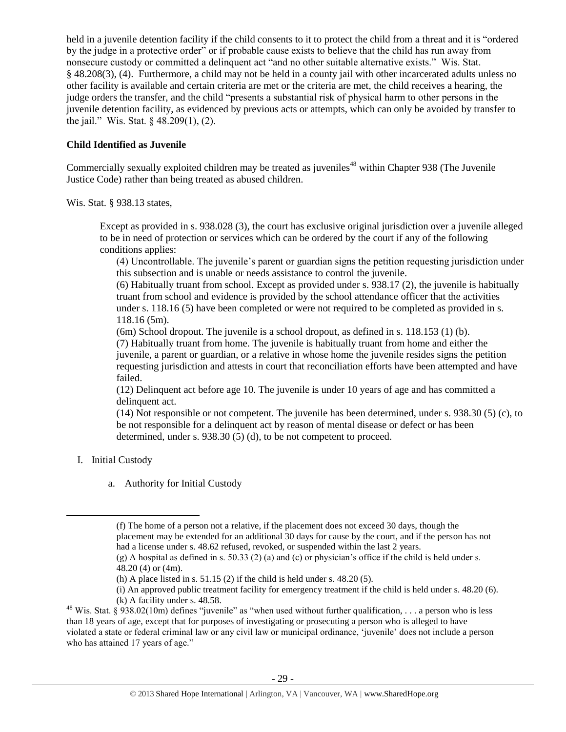held in a juvenile detention facility if the child consents to it to protect the child from a threat and it is "ordered by the judge in a protective order" or if probable cause exists to believe that the child has run away from nonsecure custody or committed a delinquent act "and no other suitable alternative exists." Wis. Stat. § 48.208(3), (4). Furthermore, a child may not be held in a county jail with other incarcerated adults unless no other facility is available and certain criteria are met or the criteria are met, the child receives a hearing, the judge orders the transfer, and the child "presents a substantial risk of physical harm to other persons in the juvenile detention facility, as evidenced by previous acts or attempts, which can only be avoided by transfer to the jail." Wis. Stat. § 48.209(1), (2).

## **Child Identified as Juvenile**

Commercially sexually exploited children may be treated as juveniles<sup>48</sup> within Chapter 938 (The Juvenile Justice Code) rather than being treated as abused children.

Wis. Stat. § 938.13 states,

Except as provided in s. 938.028 (3), the court has exclusive original jurisdiction over a juvenile alleged to be in need of protection or services which can be ordered by the court if any of the following conditions applies:

(4) Uncontrollable. The juvenile's parent or guardian signs the petition requesting jurisdiction under this subsection and is unable or needs assistance to control the juvenile.

(6) Habitually truant from school. Except as provided under s. 938.17 (2), the juvenile is habitually truant from school and evidence is provided by the school attendance officer that the activities under s. 118.16 (5) have been completed or were not required to be completed as provided in s. 118.16 (5m).

(6m) School dropout. The juvenile is a school dropout, as defined in s. 118.153 (1) (b).

(7) Habitually truant from home. The juvenile is habitually truant from home and either the juvenile, a parent or guardian, or a relative in whose home the juvenile resides signs the petition requesting jurisdiction and attests in court that reconciliation efforts have been attempted and have failed.

(12) Delinquent act before age 10. The juvenile is under 10 years of age and has committed a delinquent act.

(14) Not responsible or not competent. The juvenile has been determined, under s. 938.30 (5) (c), to be not responsible for a delinquent act by reason of mental disease or defect or has been determined, under s. 938.30 (5) (d), to be not competent to proceed.

I. Initial Custody

 $\overline{\phantom{a}}$ 

a. Authority for Initial Custody

<sup>(</sup>f) The home of a person not a relative, if the placement does not exceed 30 days, though the placement may be extended for an additional 30 days for cause by the court, and if the person has not had a license under s. 48.62 refused, revoked, or suspended within the last 2 years.

 $(g)$  A hospital as defined in s. 50.33 (2) (a) and (c) or physician's office if the child is held under s. 48.20 (4) or (4m).

<sup>(</sup>h) A place listed in s.  $51.15(2)$  if the child is held under s.  $48.20(5)$ .

<sup>(</sup>i) An approved public treatment facility for emergency treatment if the child is held under s. 48.20 (6). (k) A facility under s. 48.58.

<sup>&</sup>lt;sup>48</sup> Wis. Stat. § 938.02(10m) defines "juvenile" as "when used without further qualification, . . . a person who is less than 18 years of age, except that for purposes of investigating or prosecuting a person who is alleged to have violated a state or federal criminal law or any civil law or municipal ordinance, 'juvenile' does not include a person who has attained 17 years of age."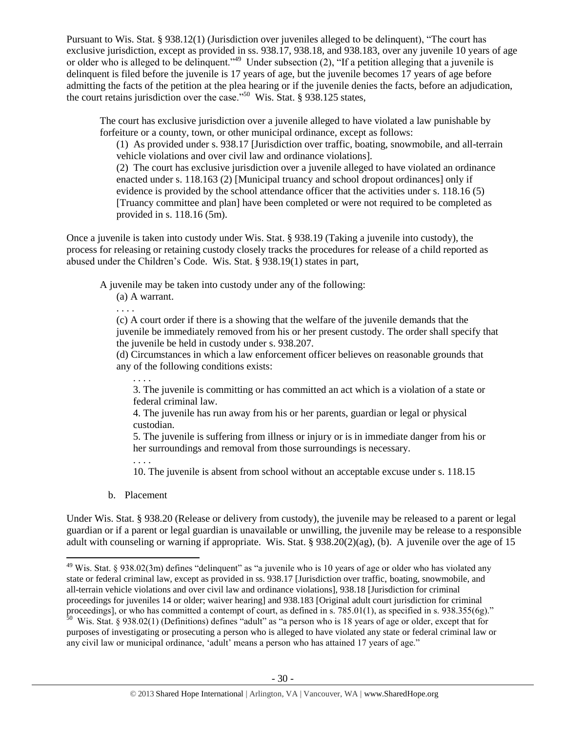Pursuant to Wis. Stat. § 938.12(1) (Jurisdiction over juveniles alleged to be delinquent), "The court has exclusive jurisdiction, except as provided in ss. 938.17, 938.18, and 938.183, over any juvenile 10 years of age or older who is alleged to be delinquent."<sup>49</sup> Under subsection (2), "If a petition alleging that a juvenile is delinquent is filed before the juvenile is 17 years of age, but the juvenile becomes 17 years of age before admitting the facts of the petition at the plea hearing or if the juvenile denies the facts, before an adjudication, the court retains jurisdiction over the case."<sup>50</sup> Wis. Stat. § 938.125 states,

The court has exclusive jurisdiction over a juvenile alleged to have violated a law punishable by forfeiture or a county, town, or other municipal ordinance, except as follows:

(1) As provided under s. 938.17 [Jurisdiction over traffic, boating, snowmobile, and all-terrain vehicle violations and over civil law and ordinance violations].

(2) The court has exclusive jurisdiction over a juvenile alleged to have violated an ordinance enacted under s. 118.163 (2) [Municipal truancy and school dropout ordinances] only if evidence is provided by the school attendance officer that the activities under s. 118.16 (5) [Truancy committee and plan] have been completed or were not required to be completed as provided in s. 118.16 (5m).

Once a juvenile is taken into custody under Wis. Stat. § 938.19 (Taking a juvenile into custody), the process for releasing or retaining custody closely tracks the procedures for release of a child reported as abused under the Children's Code. Wis. Stat. § 938.19(1) states in part,

A juvenile may be taken into custody under any of the following:

(a) A warrant.

. . . .

(c) A court order if there is a showing that the welfare of the juvenile demands that the juvenile be immediately removed from his or her present custody. The order shall specify that the juvenile be held in custody under s. 938.207.

(d) Circumstances in which a law enforcement officer believes on reasonable grounds that any of the following conditions exists:

. . . . 3. The juvenile is committing or has committed an act which is a violation of a state or federal criminal law.

4. The juvenile has run away from his or her parents, guardian or legal or physical custodian.

5. The juvenile is suffering from illness or injury or is in immediate danger from his or her surroundings and removal from those surroundings is necessary.

. . . . 10. The juvenile is absent from school without an acceptable excuse under s. 118.15

b. Placement

l

Under Wis. Stat. § 938.20 (Release or delivery from custody), the juvenile may be released to a parent or legal guardian or if a parent or legal guardian is unavailable or unwilling, the juvenile may be release to a responsible adult with counseling or warning if appropriate. Wis. Stat. § 938.20(2)(ag), (b). A juvenile over the age of 15

<sup>&</sup>lt;sup>49</sup> Wis. Stat. § 938.02(3m) defines "delinquent" as "a juvenile who is 10 years of age or older who has violated any state or federal criminal law, except as provided in ss. 938.17 [Jurisdiction over traffic, boating, snowmobile, and all-terrain vehicle violations and over civil law and ordinance violations], 938.18 [Jurisdiction for criminal proceedings for juveniles 14 or older; waiver hearing] and 938.183 [Original adult court jurisdiction for criminal proceedings], or who has committed a contempt of court, as defined in s. 785.01(1), as specified in s. 938.355(6g)."<br><sup>50</sup> Wis. Stat. § 938.02(1) (Definitions) defines "adult" as "a person who is 18 years of age or older, e

purposes of investigating or prosecuting a person who is alleged to have violated any state or federal criminal law or any civil law or municipal ordinance, 'adult' means a person who has attained 17 years of age."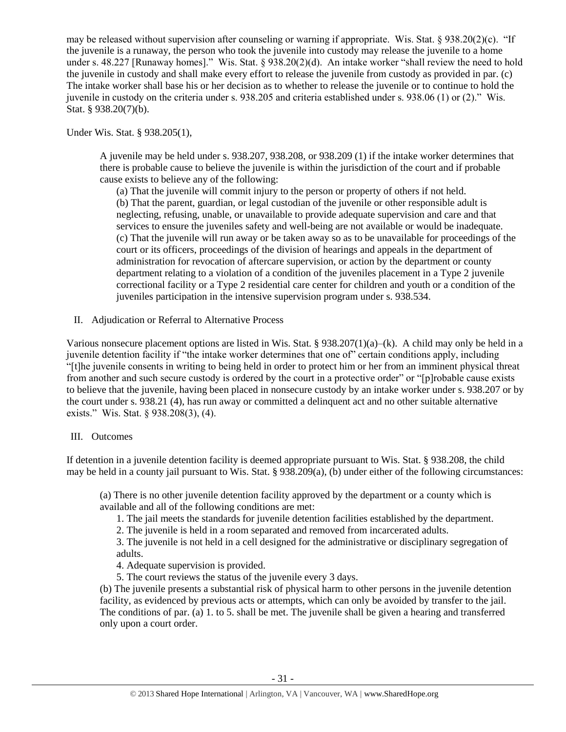may be released without supervision after counseling or warning if appropriate. Wis. Stat. § 938.20(2)(c). "If the juvenile is a runaway, the person who took the juvenile into custody may release the juvenile to a home under s. 48.227 [Runaway homes]." Wis. Stat. § 938.20(2)(d). An intake worker "shall review the need to hold the juvenile in custody and shall make every effort to release the juvenile from custody as provided in par. (c) The intake worker shall base his or her decision as to whether to release the juvenile or to continue to hold the juvenile in custody on the criteria under s. 938.205 and criteria established under s. 938.06 (1) or (2)." Wis. Stat. § 938.20(7)(b).

Under Wis. Stat. § 938.205(1),

A juvenile may be held under s. 938.207, 938.208, or 938.209 (1) if the intake worker determines that there is probable cause to believe the juvenile is within the jurisdiction of the court and if probable cause exists to believe any of the following:

(a) That the juvenile will commit injury to the person or property of others if not held. (b) That the parent, guardian, or legal custodian of the juvenile or other responsible adult is neglecting, refusing, unable, or unavailable to provide adequate supervision and care and that services to ensure the juveniles safety and well-being are not available or would be inadequate. (c) That the juvenile will run away or be taken away so as to be unavailable for proceedings of the court or its officers, proceedings of the division of hearings and appeals in the department of administration for revocation of aftercare supervision, or action by the department or county department relating to a violation of a condition of the juveniles placement in a Type 2 juvenile correctional facility or a Type 2 residential care center for children and youth or a condition of the juveniles participation in the intensive supervision program under s. 938.534.

II. Adjudication or Referral to Alternative Process

Various nonsecure placement options are listed in Wis. Stat. §  $938.207(1)(a)–(k)$ . A child may only be held in a juvenile detention facility if "the intake worker determines that one of" certain conditions apply, including "[t]he juvenile consents in writing to being held in order to protect him or her from an imminent physical threat from another and such secure custody is ordered by the court in a protective order" or "[p]robable cause exists to believe that the juvenile, having been placed in nonsecure custody by an intake worker under s. 938.207 or by the court under s. 938.21 (4), has run away or committed a delinquent act and no other suitable alternative exists." Wis. Stat. § 938.208(3), (4).

## III. Outcomes

If detention in a juvenile detention facility is deemed appropriate pursuant to Wis. Stat. § 938.208, the child may be held in a county jail pursuant to Wis. Stat. § 938.209(a), (b) under either of the following circumstances:

(a) There is no other juvenile detention facility approved by the department or a county which is available and all of the following conditions are met:

- 1. The jail meets the standards for juvenile detention facilities established by the department.
- 2. The juvenile is held in a room separated and removed from incarcerated adults.

3. The juvenile is not held in a cell designed for the administrative or disciplinary segregation of adults.

- 4. Adequate supervision is provided.
- 5. The court reviews the status of the juvenile every 3 days.

(b) The juvenile presents a substantial risk of physical harm to other persons in the juvenile detention facility, as evidenced by previous acts or attempts, which can only be avoided by transfer to the jail. The conditions of par. (a) 1. to 5. shall be met. The juvenile shall be given a hearing and transferred only upon a court order.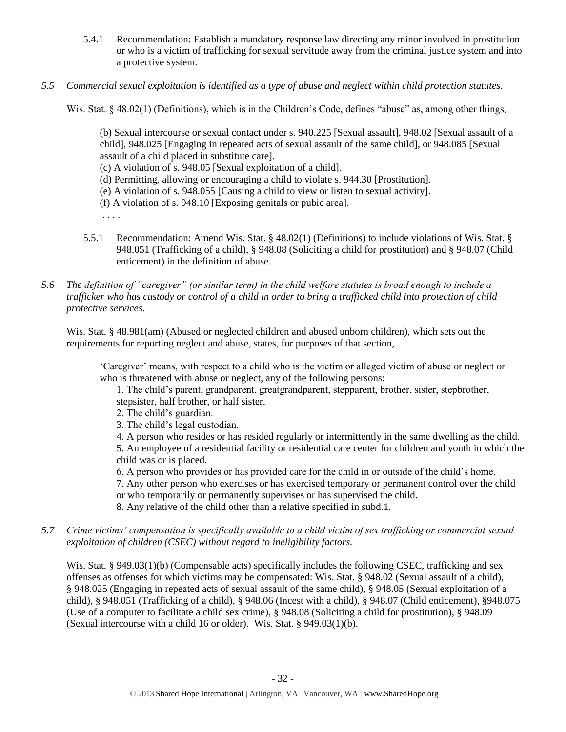- 5.4.1 Recommendation: Establish a mandatory response law directing any minor involved in prostitution or who is a victim of trafficking for sexual servitude away from the criminal justice system and into a protective system.
- *5.5 Commercial sexual exploitation is identified as a type of abuse and neglect within child protection statutes.*

Wis. Stat. § 48.02(1) (Definitions), which is in the Children's Code, defines "abuse" as, among other things,

(b) Sexual intercourse or sexual contact under s. 940.225 [Sexual assault], 948.02 [Sexual assault of a child], 948.025 [Engaging in repeated acts of sexual assault of the same child], or 948.085 [Sexual assault of a child placed in substitute care].

(c) A violation of s. 948.05 [Sexual exploitation of a child].

(d) Permitting, allowing or encouraging a child to violate s. 944.30 [Prostitution].

(e) A violation of s. 948.055 [Causing a child to view or listen to sexual activity].

(f) A violation of s. 948.10 [Exposing genitals or pubic area].

- . . . .
- 5.5.1 Recommendation: Amend Wis. Stat. § 48.02(1) (Definitions) to include violations of Wis. Stat. § 948.051 (Trafficking of a child), § 948.08 (Soliciting a child for prostitution) and § 948.07 (Child enticement) in the definition of abuse.
- *5.6 The definition of "caregiver" (or similar term) in the child welfare statutes is broad enough to include a trafficker who has custody or control of a child in order to bring a trafficked child into protection of child protective services.*

Wis. Stat. § 48.981(am) (Abused or neglected children and abused unborn children), which sets out the requirements for reporting neglect and abuse, states, for purposes of that section,

'Caregiver' means, with respect to a child who is the victim or alleged victim of abuse or neglect or who is threatened with abuse or neglect, any of the following persons:

1. The child's parent, grandparent, greatgrandparent, stepparent, brother, sister, stepbrother, stepsister, half brother, or half sister.

- 2. The child's guardian.
- 3. The child's legal custodian.

4. A person who resides or has resided regularly or intermittently in the same dwelling as the child.

5. An employee of a residential facility or residential care center for children and youth in which the child was or is placed.

6. A person who provides or has provided care for the child in or outside of the child's home.

7. Any other person who exercises or has exercised temporary or permanent control over the child or who temporarily or permanently supervises or has supervised the child.

8. Any relative of the child other than a relative specified in subd.1.

*5.7 Crime victims' compensation is specifically available to a child victim of sex trafficking or commercial sexual exploitation of children (CSEC) without regard to ineligibility factors.*

Wis. Stat. § 949.03(1)(b) (Compensable acts) specifically includes the following CSEC, trafficking and sex offenses as offenses for which victims may be compensated: Wis. Stat. § 948.02 (Sexual assault of a child), § 948.025 (Engaging in repeated acts of sexual assault of the same child), § 948.05 (Sexual exploitation of a child), § 948.051 (Trafficking of a child), § 948.06 (Incest with a child), § 948.07 (Child enticement), §948.075 (Use of a computer to facilitate a child sex crime), § 948.08 (Soliciting a child for prostitution), § 948.09 (Sexual intercourse with a child 16 or older). Wis. Stat. § 949.03(1)(b).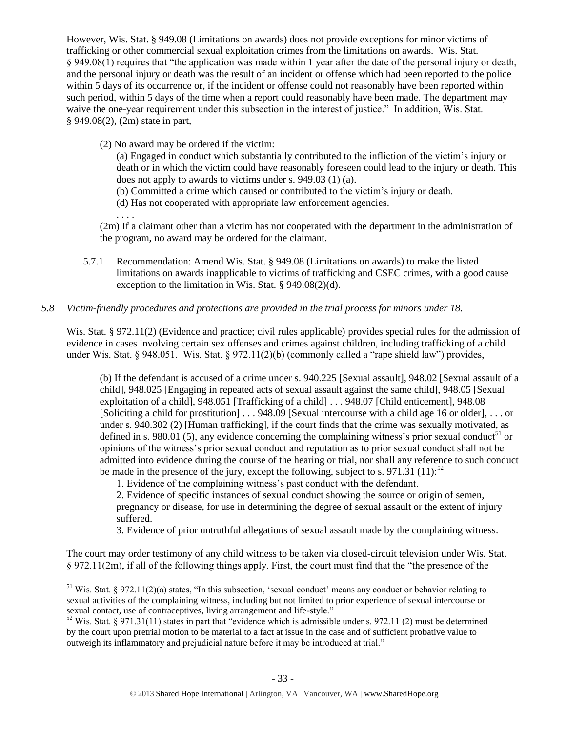However, Wis. Stat. § 949.08 (Limitations on awards) does not provide exceptions for minor victims of trafficking or other commercial sexual exploitation crimes from the limitations on awards. Wis. Stat. § 949.08(1) requires that "the application was made within 1 year after the date of the personal injury or death, and the personal injury or death was the result of an incident or offense which had been reported to the police within 5 days of its occurrence or, if the incident or offense could not reasonably have been reported within such period, within 5 days of the time when a report could reasonably have been made. The department may waive the one-year requirement under this subsection in the interest of justice." In addition, Wis. Stat. § 949.08(2), (2m) state in part,

(2) No award may be ordered if the victim:

(a) Engaged in conduct which substantially contributed to the infliction of the victim's injury or death or in which the victim could have reasonably foreseen could lead to the injury or death. This does not apply to awards to victims under s. 949.03 (1) (a).

- (b) Committed a crime which caused or contributed to the victim's injury or death.
- (d) Has not cooperated with appropriate law enforcement agencies.
- . . . .

 $\overline{\phantom{a}}$ 

(2m) If a claimant other than a victim has not cooperated with the department in the administration of the program, no award may be ordered for the claimant.

5.7.1 Recommendation: Amend Wis. Stat. § 949.08 (Limitations on awards) to make the listed limitations on awards inapplicable to victims of trafficking and CSEC crimes, with a good cause exception to the limitation in Wis. Stat. § 949.08(2)(d).

## *5.8 Victim-friendly procedures and protections are provided in the trial process for minors under 18.*

Wis. Stat. § 972.11(2) (Evidence and practice; civil rules applicable) provides special rules for the admission of evidence in cases involving certain sex offenses and crimes against children, including trafficking of a child under Wis. Stat. § 948.051. Wis. Stat. § 972.11(2)(b) (commonly called a "rape shield law") provides,

(b) If the defendant is accused of a crime under s. 940.225 [Sexual assault], 948.02 [Sexual assault of a child], 948.025 [Engaging in repeated acts of sexual assault against the same child], 948.05 [Sexual exploitation of a child], 948.051 [Trafficking of a child] . . . 948.07 [Child enticement], 948.08 [Soliciting a child for prostitution] . . . 948.09 [Sexual intercourse with a child age 16 or older], . . . or under s. 940.302 (2) [Human trafficking], if the court finds that the crime was sexually motivated, as defined in s. 980.01 (5), any evidence concerning the complaining witness's prior sexual conduct<sup>51</sup> or opinions of the witness's prior sexual conduct and reputation as to prior sexual conduct shall not be admitted into evidence during the course of the hearing or trial, nor shall any reference to such conduct be made in the presence of the jury, except the following, subject to s. 971.31 (11):<sup>52</sup>

1. Evidence of the complaining witness's past conduct with the defendant.

2. Evidence of specific instances of sexual conduct showing the source or origin of semen, pregnancy or disease, for use in determining the degree of sexual assault or the extent of injury suffered.

3. Evidence of prior untruthful allegations of sexual assault made by the complaining witness.

The court may order testimony of any child witness to be taken via closed-circuit television under Wis. Stat. § 972.11(2m), if all of the following things apply. First, the court must find that the "the presence of the

<sup>&</sup>lt;sup>51</sup> Wis. Stat. § 972.11(2)(a) states, "In this subsection, 'sexual conduct' means any conduct or behavior relating to sexual activities of the complaining witness, including but not limited to prior experience of sexual intercourse or sexual contact, use of contraceptives, living arrangement and life-style."

 $52$  Wis. Stat. § 971.31(11) states in part that "evidence which is admissible under s. 972.11 (2) must be determined by the court upon pretrial motion to be material to a fact at issue in the case and of sufficient probative value to outweigh its inflammatory and prejudicial nature before it may be introduced at trial."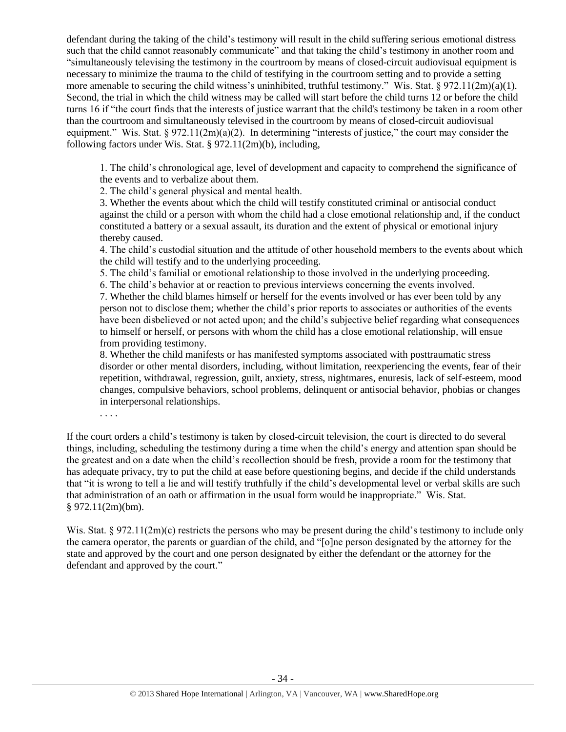defendant during the taking of the child's testimony will result in the child suffering serious emotional distress such that the child cannot reasonably communicate" and that taking the child's testimony in another room and "simultaneously televising the testimony in the courtroom by means of closed-circuit audiovisual equipment is necessary to minimize the trauma to the child of testifying in the courtroom setting and to provide a setting more amenable to securing the child witness's uninhibited, truthful testimony." Wis. Stat. § 972.11(2m)(a)(1). Second, the trial in which the child witness may be called will start before the child turns 12 or before the child turns 16 if "the court finds that the interests of justice warrant that the child's testimony be taken in a room other than the courtroom and simultaneously televised in the courtroom by means of closed-circuit audiovisual equipment." Wis. Stat. § 972.11(2m)(a)(2). In determining "interests of justice," the court may consider the following factors under Wis. Stat. § 972.11(2m)(b), including,

1. The child's chronological age, level of development and capacity to comprehend the significance of the events and to verbalize about them.

2. The child's general physical and mental health.

3. Whether the events about which the child will testify constituted criminal or antisocial conduct against the child or a person with whom the child had a close emotional relationship and, if the conduct constituted a battery or a sexual assault, its duration and the extent of physical or emotional injury thereby caused.

4. The child's custodial situation and the attitude of other household members to the events about which the child will testify and to the underlying proceeding.

5. The child's familial or emotional relationship to those involved in the underlying proceeding.

6. The child's behavior at or reaction to previous interviews concerning the events involved.

7. Whether the child blames himself or herself for the events involved or has ever been told by any person not to disclose them; whether the child's prior reports to associates or authorities of the events have been disbelieved or not acted upon; and the child's subjective belief regarding what consequences to himself or herself, or persons with whom the child has a close emotional relationship, will ensue from providing testimony.

8. Whether the child manifests or has manifested symptoms associated with posttraumatic stress disorder or other mental disorders, including, without limitation, reexperiencing the events, fear of their repetition, withdrawal, regression, guilt, anxiety, stress, nightmares, enuresis, lack of self-esteem, mood changes, compulsive behaviors, school problems, delinquent or antisocial behavior, phobias or changes in interpersonal relationships.

. . . .

If the court orders a child's testimony is taken by closed-circuit television, the court is directed to do several things, including, scheduling the testimony during a time when the child's energy and attention span should be the greatest and on a date when the child's recollection should be fresh, provide a room for the testimony that has adequate privacy, try to put the child at ease before questioning begins, and decide if the child understands that "it is wrong to tell a lie and will testify truthfully if the child's developmental level or verbal skills are such that administration of an oath or affirmation in the usual form would be inappropriate." Wis. Stat. § 972.11(2m)(bm).

Wis. Stat. § 972.11(2m)(c) restricts the persons who may be present during the child's testimony to include only the camera operator, the parents or guardian of the child, and "[o]ne person designated by the attorney for the state and approved by the court and one person designated by either the defendant or the attorney for the defendant and approved by the court."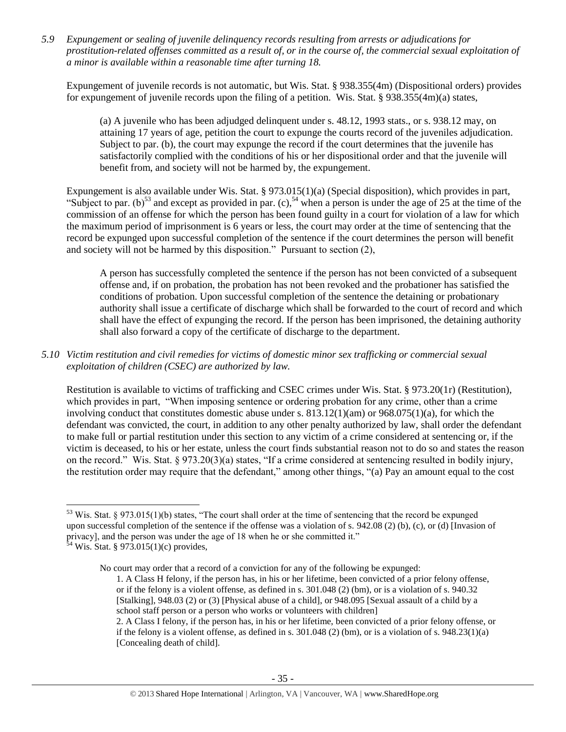*5.9 Expungement or sealing of juvenile delinquency records resulting from arrests or adjudications for prostitution-related offenses committed as a result of, or in the course of, the commercial sexual exploitation of a minor is available within a reasonable time after turning 18.*

Expungement of juvenile records is not automatic, but Wis. Stat. § 938.355(4m) (Dispositional orders) provides for expungement of juvenile records upon the filing of a petition. Wis. Stat. § 938.355(4m)(a) states,

(a) A juvenile who has been adjudged delinquent under s. 48.12, 1993 stats., or s. 938.12 may, on attaining 17 years of age, petition the court to expunge the courts record of the juveniles adjudication. Subject to par. (b), the court may expunge the record if the court determines that the juvenile has satisfactorily complied with the conditions of his or her dispositional order and that the juvenile will benefit from, and society will not be harmed by, the expungement.

Expungement is also available under Wis. Stat. § 973.015(1)(a) (Special disposition), which provides in part, "Subject to par. (b)<sup>53</sup> and except as provided in par. (c),<sup>54</sup> when a person is under the age of 25 at the time of the commission of an offense for which the person has been found guilty in a court for violation of a law for which the maximum period of imprisonment is 6 years or less, the court may order at the time of sentencing that the record be expunged upon successful completion of the sentence if the court determines the person will benefit and society will not be harmed by this disposition." Pursuant to section (2),

A person has successfully completed the sentence if the person has not been convicted of a subsequent offense and, if on probation, the probation has not been revoked and the probationer has satisfied the conditions of probation. Upon successful completion of the sentence the detaining or probationary authority shall issue a certificate of discharge which shall be forwarded to the court of record and which shall have the effect of expunging the record. If the person has been imprisoned, the detaining authority shall also forward a copy of the certificate of discharge to the department.

## *5.10 Victim restitution and civil remedies for victims of domestic minor sex trafficking or commercial sexual exploitation of children (CSEC) are authorized by law.*

Restitution is available to victims of trafficking and CSEC crimes under Wis. Stat. § 973.20(1r) (Restitution), which provides in part, "When imposing sentence or ordering probation for any crime, other than a crime involving conduct that constitutes domestic abuse under s.  $813.12(1)(am)$  or  $968.075(1)(a)$ , for which the defendant was convicted, the court, in addition to any other penalty authorized by law, shall order the defendant to make full or partial restitution under this section to any victim of a crime considered at sentencing or, if the victim is deceased, to his or her estate, unless the court finds substantial reason not to do so and states the reason on the record." Wis. Stat. § 973.20(3)(a) states, "If a crime considered at sentencing resulted in bodily injury, the restitution order may require that the defendant," among other things, "(a) Pay an amount equal to the cost

1. A Class H felony, if the person has, in his or her lifetime, been convicted of a prior felony offense, or if the felony is a violent offense, as defined in s. 301.048 (2) (bm), or is a violation of s. 940.32 [Stalking], 948.03 (2) or (3) [Physical abuse of a child], or 948.095 [Sexual assault of a child by a school staff person or a person who works or volunteers with children]

 $\overline{\phantom{a}}$  $53$  Wis. Stat. § 973.015(1)(b) states, "The court shall order at the time of sentencing that the record be expunged upon successful completion of the sentence if the offense was a violation of s. 942.08 (2) (b), (c), or (d) [Invasion of privacy], and the person was under the age of 18 when he or she committed it."  $54$  Wis. Stat. § 973.015(1)(c) provides,

No court may order that a record of a conviction for any of the following be expunged:

<sup>2.</sup> A Class I felony, if the person has, in his or her lifetime, been convicted of a prior felony offense, or if the felony is a violent offense, as defined in s.  $301.048$  (2) (bm), or is a violation of s.  $948.23(1)(a)$ [Concealing death of child].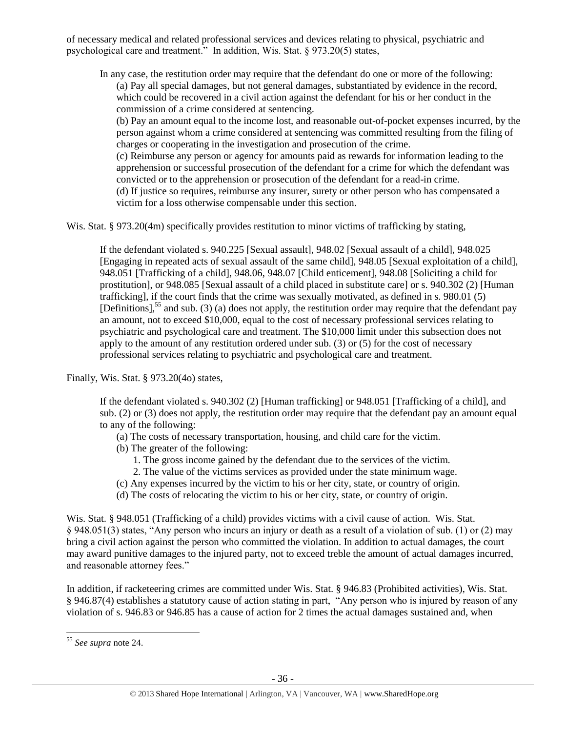of necessary medical and related professional services and devices relating to physical, psychiatric and psychological care and treatment." In addition, Wis. Stat. § 973.20(5) states,

In any case, the restitution order may require that the defendant do one or more of the following: (a) Pay all special damages, but not general damages, substantiated by evidence in the record, which could be recovered in a civil action against the defendant for his or her conduct in the commission of a crime considered at sentencing.

(b) Pay an amount equal to the income lost, and reasonable out-of-pocket expenses incurred, by the person against whom a crime considered at sentencing was committed resulting from the filing of charges or cooperating in the investigation and prosecution of the crime.

(c) Reimburse any person or agency for amounts paid as rewards for information leading to the apprehension or successful prosecution of the defendant for a crime for which the defendant was convicted or to the apprehension or prosecution of the defendant for a read-in crime. (d) If justice so requires, reimburse any insurer, surety or other person who has compensated a victim for a loss otherwise compensable under this section.

Wis. Stat. § 973.20(4m) specifically provides restitution to minor victims of trafficking by stating,

If the defendant violated s. 940.225 [Sexual assault], 948.02 [Sexual assault of a child], 948.025 [Engaging in repeated acts of sexual assault of the same child], 948.05 [Sexual exploitation of a child], 948.051 [Trafficking of a child], 948.06, 948.07 [Child enticement], 948.08 [Soliciting a child for prostitution], or 948.085 [Sexual assault of a child placed in substitute care] or s. 940.302 (2) [Human trafficking], if the court finds that the crime was sexually motivated, as defined in s. 980.01 (5) [Definitions],<sup>55</sup> and sub. (3) (a) does not apply, the restitution order may require that the defendant pay an amount, not to exceed \$10,000, equal to the cost of necessary professional services relating to psychiatric and psychological care and treatment. The \$10,000 limit under this subsection does not apply to the amount of any restitution ordered under sub. (3) or (5) for the cost of necessary professional services relating to psychiatric and psychological care and treatment.

Finally, Wis. Stat. § 973.20(4o) states,

If the defendant violated s. 940.302 (2) [Human trafficking] or 948.051 [Trafficking of a child], and sub. (2) or (3) does not apply, the restitution order may require that the defendant pay an amount equal to any of the following:

- (a) The costs of necessary transportation, housing, and child care for the victim.
- (b) The greater of the following:
	- 1. The gross income gained by the defendant due to the services of the victim.
	- 2. The value of the victims services as provided under the state minimum wage.
- (c) Any expenses incurred by the victim to his or her city, state, or country of origin.
- (d) The costs of relocating the victim to his or her city, state, or country of origin.

Wis. Stat. § 948.051 (Trafficking of a child) provides victims with a civil cause of action. Wis. Stat. § 948.051(3) states, "Any person who incurs an injury or death as a result of a violation of sub. (1) or (2) may bring a civil action against the person who committed the violation. In addition to actual damages, the court may award punitive damages to the injured party, not to exceed treble the amount of actual damages incurred, and reasonable attorney fees."

In addition, if racketeering crimes are committed under Wis. Stat. § 946.83 (Prohibited activities), Wis. Stat. § 946.87(4) establishes a statutory cause of action stating in part, "Any person who is injured by reason of any violation of s. 946.83 or 946.85 has a cause of action for 2 times the actual damages sustained and, when

 $\overline{a}$ <sup>55</sup> *See supra* note [24.](#page-10-1)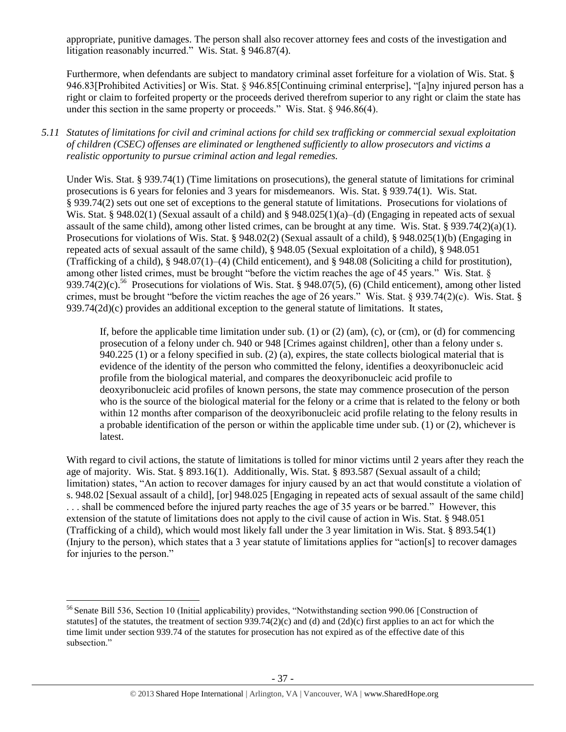appropriate, punitive damages. The person shall also recover attorney fees and costs of the investigation and litigation reasonably incurred." Wis. Stat. § 946.87(4).

Furthermore, when defendants are subject to mandatory criminal asset forfeiture for a violation of Wis. Stat. § 946.83[Prohibited Activities] or Wis. Stat. § 946.85[Continuing criminal enterprise], "[a]ny injured person has a right or claim to forfeited property or the proceeds derived therefrom superior to any right or claim the state has under this section in the same property or proceeds." Wis. Stat. § 946.86(4).

## *5.11 Statutes of limitations for civil and criminal actions for child sex trafficking or commercial sexual exploitation of children (CSEC) offenses are eliminated or lengthened sufficiently to allow prosecutors and victims a realistic opportunity to pursue criminal action and legal remedies.*

Under Wis. Stat. § 939.74(1) (Time limitations on prosecutions), the general statute of limitations for criminal prosecutions is 6 years for felonies and 3 years for misdemeanors. Wis. Stat. § 939.74(1). Wis. Stat. § 939.74(2) sets out one set of exceptions to the general statute of limitations. Prosecutions for violations of Wis. Stat. § 948.02(1) (Sexual assault of a child) and § 948.025(1)(a)–(d) (Engaging in repeated acts of sexual assault of the same child), among other listed crimes, can be brought at any time. Wis. Stat. § 939.74(2)(a)(1). Prosecutions for violations of Wis. Stat. § 948.02(2) (Sexual assault of a child), § 948.025(1)(b) (Engaging in repeated acts of sexual assault of the same child), § 948.05 (Sexual exploitation of a child), § 948.051 (Trafficking of a child), § 948.07(1)–(4) (Child enticement), and § 948.08 (Soliciting a child for prostitution), among other listed crimes, must be brought "before the victim reaches the age of 45 years." Wis. Stat. § 939.74(2)(c).<sup>56</sup> Prosecutions for violations of Wis. Stat. § 948.07(5), (6) (Child enticement), among other listed crimes, must be brought "before the victim reaches the age of 26 years." Wis. Stat. § 939.74(2)(c). Wis. Stat. §  $939.74(2d)(c)$  provides an additional exception to the general statute of limitations. It states,

If, before the applicable time limitation under sub. (1) or (2) (am), (c), or (cm), or (d) for commencing prosecution of a felony under ch. 940 or 948 [Crimes against children], other than a felony under s. 940.225 (1) or a felony specified in sub. (2) (a), expires, the state collects biological material that is evidence of the identity of the person who committed the felony, identifies a deoxyribonucleic acid profile from the biological material, and compares the deoxyribonucleic acid profile to deoxyribonucleic acid profiles of known persons, the state may commence prosecution of the person who is the source of the biological material for the felony or a crime that is related to the felony or both within 12 months after comparison of the deoxyribonucleic acid profile relating to the felony results in a probable identification of the person or within the applicable time under sub. (1) or (2), whichever is latest.

With regard to civil actions, the statute of limitations is tolled for minor victims until 2 years after they reach the age of majority. Wis. Stat. § 893.16(1). Additionally, Wis. Stat. § 893.587 (Sexual assault of a child; limitation) states, "An action to recover damages for injury caused by an act that would constitute a violation of s. 948.02 [Sexual assault of a child], [or] 948.025 [Engaging in repeated acts of sexual assault of the same child] . . . shall be commenced before the injured party reaches the age of 35 years or be barred." However, this extension of the statute of limitations does not apply to the civil cause of action in Wis. Stat. § 948.051 (Trafficking of a child), which would most likely fall under the 3 year limitation in Wis. Stat. § 893.54(1) (Injury to the person), which states that a 3 year statute of limitations applies for "action[s] to recover damages for injuries to the person."

 $\overline{a}$ <sup>56</sup> Senate Bill 536, Section 10 (Initial applicability) provides, "Notwithstanding section 990.06 [Construction of statutes] of the statutes, the treatment of section  $939.74(2)(c)$  and (d) and  $(2d)(c)$  first applies to an act for which the time limit under section 939.74 of the statutes for prosecution has not expired as of the effective date of this subsection."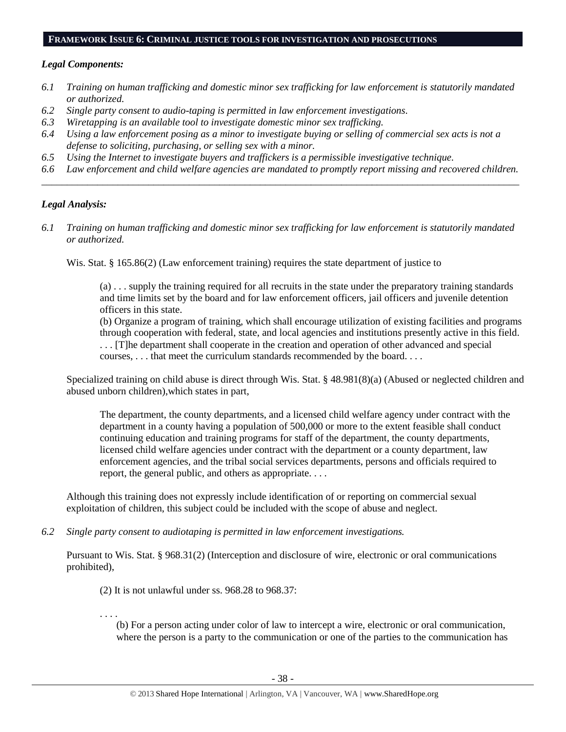#### **FRAMEWORK ISSUE 6: CRIMINAL JUSTICE TOOLS FOR INVESTIGATION AND PROSECUTIONS**

#### *Legal Components:*

- *6.1 Training on human trafficking and domestic minor sex trafficking for law enforcement is statutorily mandated or authorized.*
- *6.2 Single party consent to audio-taping is permitted in law enforcement investigations.*
- *6.3 Wiretapping is an available tool to investigate domestic minor sex trafficking.*
- *6.4 Using a law enforcement posing as a minor to investigate buying or selling of commercial sex acts is not a defense to soliciting, purchasing, or selling sex with a minor.*
- *6.5 Using the Internet to investigate buyers and traffickers is a permissible investigative technique.*
- *6.6 Law enforcement and child welfare agencies are mandated to promptly report missing and recovered children. \_\_\_\_\_\_\_\_\_\_\_\_\_\_\_\_\_\_\_\_\_\_\_\_\_\_\_\_\_\_\_\_\_\_\_\_\_\_\_\_\_\_\_\_\_\_\_\_\_\_\_\_\_\_\_\_\_\_\_\_\_\_\_\_\_\_\_\_\_\_\_\_\_\_\_\_\_\_\_\_\_\_\_\_\_\_\_\_\_\_\_\_\_\_*

## *Legal Analysis:*

*6.1 Training on human trafficking and domestic minor sex trafficking for law enforcement is statutorily mandated or authorized.*

Wis. Stat. § 165.86(2) (Law enforcement training) requires the state department of justice to

(a) . . . supply the training required for all recruits in the state under the preparatory training standards and time limits set by the board and for law enforcement officers, jail officers and juvenile detention officers in this state.

(b) Organize a program of training, which shall encourage utilization of existing facilities and programs through cooperation with federal, state, and local agencies and institutions presently active in this field. . . . [T]he department shall cooperate in the creation and operation of other advanced and special

courses, . . . that meet the curriculum standards recommended by the board. . . .

Specialized training on child abuse is direct through Wis. Stat. § 48.981(8)(a) (Abused or neglected children and abused unborn children),which states in part,

The department, the county departments, and a licensed child welfare agency under contract with the department in a county having a population of 500,000 or more to the extent feasible shall conduct continuing education and training programs for staff of the department, the county departments, licensed child welfare agencies under contract with the department or a county department, law enforcement agencies, and the tribal social services departments, persons and officials required to report, the general public, and others as appropriate. . . .

Although this training does not expressly include identification of or reporting on commercial sexual exploitation of children, this subject could be included with the scope of abuse and neglect.

*6.2 Single party consent to audiotaping is permitted in law enforcement investigations.*

Pursuant to Wis. Stat. § 968.31(2) (Interception and disclosure of wire, electronic or oral communications prohibited),

(2) It is not unlawful under ss. 968.28 to 968.37:

. . . . (b) For a person acting under color of law to intercept a wire, electronic or oral communication, where the person is a party to the communication or one of the parties to the communication has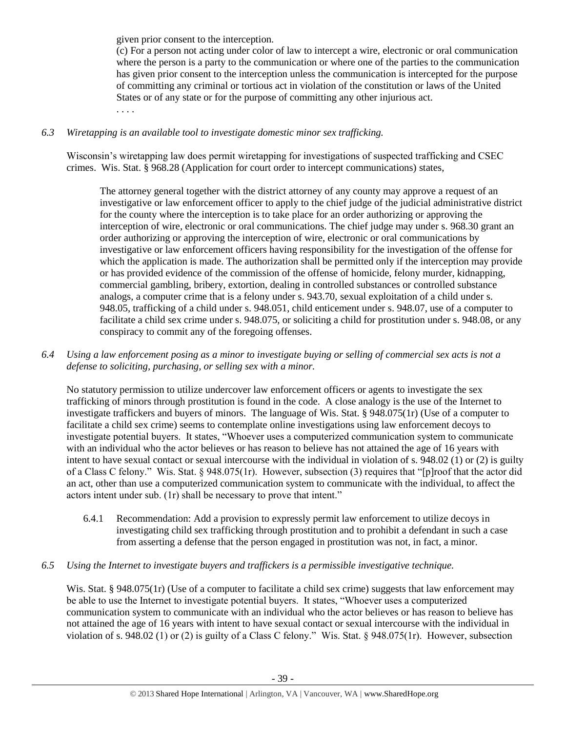given prior consent to the interception.

(c) For a person not acting under color of law to intercept a wire, electronic or oral communication where the person is a party to the communication or where one of the parties to the communication has given prior consent to the interception unless the communication is intercepted for the purpose of committing any criminal or tortious act in violation of the constitution or laws of the United States or of any state or for the purpose of committing any other injurious act. . . . .

# *6.3 Wiretapping is an available tool to investigate domestic minor sex trafficking.*

Wisconsin's wiretapping law does permit wiretapping for investigations of suspected trafficking and CSEC crimes. Wis. Stat. § 968.28 (Application for court order to intercept communications) states,

The attorney general together with the district attorney of any county may approve a request of an investigative or law enforcement officer to apply to the chief judge of the judicial administrative district for the county where the interception is to take place for an order authorizing or approving the interception of wire, electronic or oral communications. The chief judge may under s. 968.30 grant an order authorizing or approving the interception of wire, electronic or oral communications by investigative or law enforcement officers having responsibility for the investigation of the offense for which the application is made. The authorization shall be permitted only if the interception may provide or has provided evidence of the commission of the offense of homicide, felony murder, kidnapping, commercial gambling, bribery, extortion, dealing in controlled substances or controlled substance analogs, a computer crime that is a felony under s. 943.70, sexual exploitation of a child under s. 948.05, trafficking of a child under s. 948.051, child enticement under s. 948.07, use of a computer to facilitate a child sex crime under s. 948.075, or soliciting a child for prostitution under s. 948.08, or any conspiracy to commit any of the foregoing offenses.

*6.4 Using a law enforcement posing as a minor to investigate buying or selling of commercial sex acts is not a defense to soliciting, purchasing, or selling sex with a minor.*

No statutory permission to utilize undercover law enforcement officers or agents to investigate the sex trafficking of minors through prostitution is found in the code. A close analogy is the use of the Internet to investigate traffickers and buyers of minors. The language of Wis. Stat. § 948.075(1r) (Use of a computer to facilitate a child sex crime) seems to contemplate online investigations using law enforcement decoys to investigate potential buyers. It states, "Whoever uses a computerized communication system to communicate with an individual who the actor believes or has reason to believe has not attained the age of 16 years with intent to have sexual contact or sexual intercourse with the individual in violation of s. 948.02 (1) or (2) is guilty of a Class C felony." Wis. Stat. § 948.075(1r). However, subsection (3) requires that "[p]roof that the actor did an act, other than use a computerized communication system to communicate with the individual, to affect the actors intent under sub. (1r) shall be necessary to prove that intent."

6.4.1 Recommendation: Add a provision to expressly permit law enforcement to utilize decoys in investigating child sex trafficking through prostitution and to prohibit a defendant in such a case from asserting a defense that the person engaged in prostitution was not, in fact, a minor.

## *6.5 Using the Internet to investigate buyers and traffickers is a permissible investigative technique.*

Wis. Stat. § 948.075(1r) (Use of a computer to facilitate a child sex crime) suggests that law enforcement may be able to use the Internet to investigate potential buyers. It states, "Whoever uses a computerized communication system to communicate with an individual who the actor believes or has reason to believe has not attained the age of 16 years with intent to have sexual contact or sexual intercourse with the individual in violation of s. 948.02 (1) or (2) is guilty of a Class C felony." Wis. Stat. § 948.075(1r). However, subsection